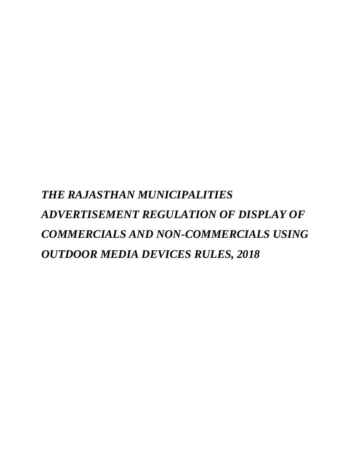*THE RAJASTHAN MUNICIPALITIES ADVERTISEMENT REGULATION OF DISPLAY OF COMMERCIALS AND NON-COMMERCIALS USING OUTDOOR MEDIA DEVICES RULES, 2018*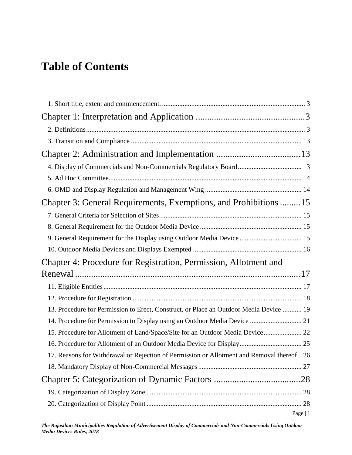# **Table of Contents**

| Chapter 3: General Requirements, Exemptions, and Prohibitions 15                           |           |
|--------------------------------------------------------------------------------------------|-----------|
|                                                                                            |           |
|                                                                                            |           |
| 9. General Requirement for the Display using Outdoor Media Device  15                      |           |
|                                                                                            |           |
| Chapter 4: Procedure for Registration, Permission, Allotment and                           |           |
|                                                                                            |           |
|                                                                                            |           |
|                                                                                            |           |
| 13. Procedure for Permission to Erect, Construct, or Place an Outdoor Media Device  19     |           |
|                                                                                            |           |
| 15. Procedure for Allotment of Land/Space/Site for an Outdoor Media Device 22              |           |
|                                                                                            |           |
| 17. Reasons for Withdrawal or Rejection of Permission or Allotment and Removal thereof  26 |           |
|                                                                                            |           |
|                                                                                            |           |
|                                                                                            |           |
|                                                                                            |           |
|                                                                                            | Page $ 1$ |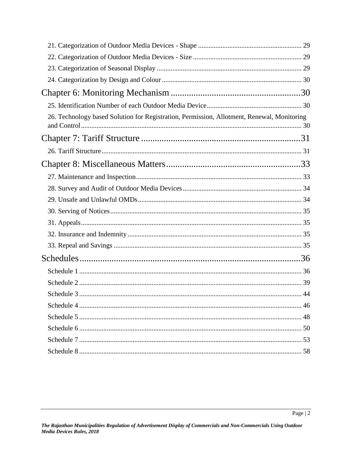| 26. Technology based Solution for Registration, Permission, Allotment, Renewal, Monitoring |  |
|--------------------------------------------------------------------------------------------|--|
|                                                                                            |  |
|                                                                                            |  |
|                                                                                            |  |
|                                                                                            |  |
|                                                                                            |  |
|                                                                                            |  |
|                                                                                            |  |
|                                                                                            |  |
|                                                                                            |  |
|                                                                                            |  |
|                                                                                            |  |
|                                                                                            |  |
|                                                                                            |  |
|                                                                                            |  |
|                                                                                            |  |
|                                                                                            |  |
|                                                                                            |  |
|                                                                                            |  |
|                                                                                            |  |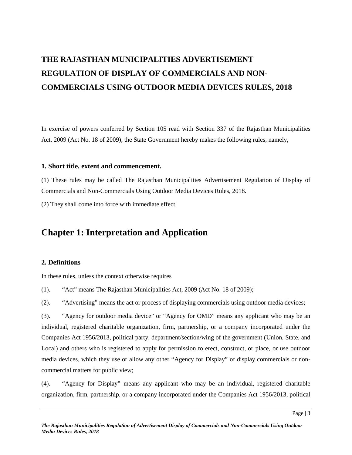# **THE RAJASTHAN MUNICIPALITIES ADVERTISEMENT REGULATION OF DISPLAY OF COMMERCIALS AND NON- COMMERCIALS USING OUTDOOR MEDIA DEVICES RULES, 2018**

In exercise of powers conferred by Section 105 read with Section 337 of the Rajasthan Municipalities Act, 2009 (Act No. 18 of 2009), the State Government hereby makes the following rules, namely,

#### **1. Short title, extent and commencement.**

(1) These rules may be called The Rajasthan Municipalities Advertisement Regulation of Display of Commercials and Non-Commercials Using Outdoor Media Devices Rules, 2018.

(2) They shall come into force with immediate effect.

## **Chapter 1: Interpretation and Application**

#### **2. Definitions**

In these rules, unless the context otherwise requires

(1). "Act" means The Rajasthan Municipalities Act, 2009 (Act No. 18 of 2009);

(2). "Advertising" means the act or process of displaying commercials using outdoor media devices;

(3). "Agency for outdoor media device" or "Agency for OMD" means any applicant who may be an individual, registered charitable organization, firm, partnership, or a company incorporated under the Companies Act 1956/2013, political party, department/section/wing of the government (Union, State, and Local) and others who is registered to apply for permission to erect, construct, or place, or use outdoor media devices, which they use or allow any other "Agency for Display" of display commercials or non commercial matters for public view;

(4). "Agency for Display" means any applicant who may be an individual, registered charitable organization, firm, partnership, or a company incorporated under the Companies Act 1956/2013, political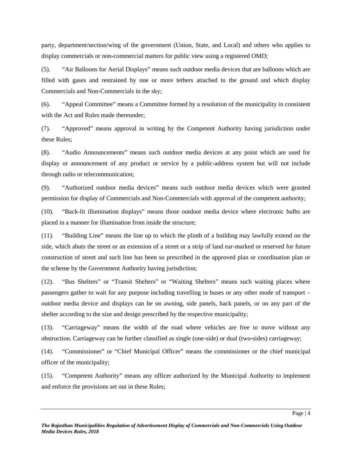party, department/section/wing of the government (Union, State, and Local) and others who applies to display commercials or non-commercial matters for public view using a registered OMD;

(5). "Air Balloons for Aerial Displays" means such outdoor media devices that are balloons which are filled with gases and restrained by one or more tethers attached to the ground and which display Commercials and Non-Commercials in the sky;

(6). "Appeal Committee" means a Committee formed by a resolution of the municipality in consistent with the Act and Rules made thereunder;

(7). "Approved" means approval in writing by the Competent Authority having jurisdiction under these Rules;

(8). "Audio Announcements" means such outdoor media devices at any point which are used for display or announcement of any product or service by a public-address system but will not include through radio or telecommunication;

(9). "Authorized outdoor media devices" means such outdoor media devices which were granted permission for display of Commercials and Non-Commercials with approval of the competent authority;

(10). "Back-lit illumination displays" means those outdoor media device where electronic bulbs are placed in a manner for illumination from inside the structure;

(11). "Building Line" means the line up to which the plinth of a building may lawfully extend on the side, which abuts the street or an extension of a street or a strip of land ear-marked or reserved for future construction of street and such line has been so prescribed in the approved plan or coordination plan or the scheme by the Government Authority having jurisdiction;

(12). "Bus Shelters" or "Transit Shelters" or "Waiting Shelters" means such waiting places where passengers gather to wait for any purpose including travelling in buses or any other mode of transport – outdoor media device and displays can be on awning, side panels, back panels, or on any part of the shelter according to the size and design prescribed by the respective municipality;

(13). "Carriageway" means the width of the road where vehicles are free to move without any obstruction. Carriageway can be further classified as single (one-side) or dual (two-sides) carriageway;

(14). "Commissioner" or "Chief Municipal Officer" means the commissioner or the chief municipal officer of the municipality;

(15). "Competent Authority" means any officer authorized by the Municipal Authority to implement and enforce the provisions set out in these Rules;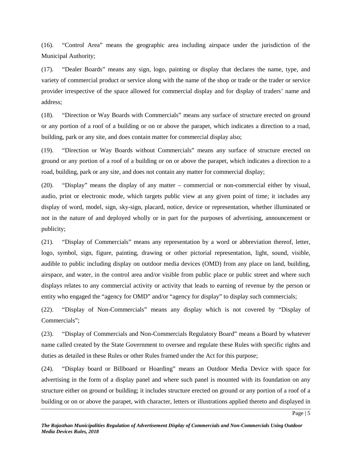(16). "Control Area" means the geographic area including airspace under the jurisdiction of the Municipal Authority;

(17). "Dealer Boards" means any sign, logo, painting or display that declares the name, type, and variety of commercial product or service along with the name of the shop or trade or the trader or service provider irrespective of the space allowed for commercial display and for display of traders' name and address;

(18). "Direction or Way Boards with Commercials" means any surface of structure erected on ground or any portion of a roof of a building or on or above the parapet, which indicates a direction to a road, building, park or any site, and does contain matter for commercial display also;

(19). "Direction or Way Boards without Commercials" means any surface of structure erected on ground or any portion of a roof of a building or on or above the parapet, which indicates a direction to a road, building, park or any site, and does not contain any matter for commercial display;

(20). "Display" means the display of any matter – commercial or non-commercial either by visual, audio, print or electronic mode, which targets public view at any given point of time; it includes any display of word, model, sign, sky-sign, placard, notice, device or representation, whether illuminated or not in the nature of and deployed wholly or in part for the purposes of advertising, announcement or publicity;

(21). "Display of Commercials" means any representation by a word or abbreviation thereof, letter, logo, symbol, sign, figure, painting, drawing or other pictorial representation, light, sound, visible, audible to public including display on outdoor media devices (OMD) from any place on land, building, airspace, and water, in the control area and/or visible from public place or public street and where such displays relates to any commercial activity or activity that leads to earning of revenue by the person or entity who engaged the "agency for OMD" and/or "agency for display" to display such commercials;

(22). "Display of Non-Commercials" means any display which is not covered by "Display of Commercials";

(23). "Display of Commercials and Non-Commercials Regulatory Board" means a Board by whatever name called created by the State Government to oversee and regulate these Rules with specific rights and duties as detailed in these Rules or other Rules framed under the Act for this purpose;

(24). "Display board or Billboard or Hoarding" means an Outdoor Media Device with space for advertising in the form of a display panel and where such panel is mounted with its foundation on any structure either on ground or building; it includes structure erected on ground or any portion of a roof of a building or on or above the parapet, with character, letters or illustrations applied thereto and displayed in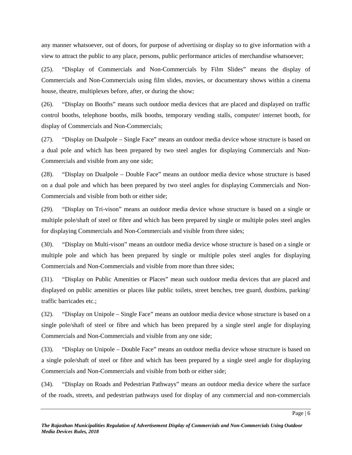any manner whatsoever, out of doors, for purpose of advertising or display so to give information with a view to attract the public to any place, persons, public performance articles of merchandise whatsoever;

(25). "Display of Commercials and Non-Commercials by Film Slides" means the display of Commercials and Non-Commercials using film slides, movies, or documentary shows within a cinema house, theatre, multiplexes before, after, or during the show;

(26). "Display on Booths" means such outdoor media devices that are placed and displayed on traffic control booths, telephone booths, milk booths, temporary vending stalls, computer/ internet booth, for display of Commercials and Non-Commercials;

(27). "Display on Dualpole – Single Face" means an outdoor media device whose structure is based on a dual pole and which has been prepared by two steel angles for displaying Commercials and Non- Commercials and visible from any one side;

(28). "Display on Dualpole – Double Face" means an outdoor media device whose structure is based on a dual pole and which has been prepared by two steel angles for displaying Commercials and Non- Commercials and visible from both or either side;

(29). "Display on Tri-vison" means an outdoor media device whose structure is based on a single or multiple pole/shaft of steel or fibre and which has been prepared by single or multiple poles steel angles for displaying Commercials and Non-Commercials and visible from three sides;

(30). "Display on Multi-vison" means an outdoor media device whose structure is based on a single or multiple pole and which has been prepared by single or multiple poles steel angles for displaying Commercials and Non-Commercials and visible from more than three sides;

(31). "Display on Public Amenities or Places" mean such outdoor media devices that are placed and displayed on public amenities or places like public toilets, street benches, tree guard, dustbins, parking/ traffic barricades etc.;

(32). "Display on Unipole – Single Face" means an outdoor media device whose structure is based on a single pole/shaft of steel or fibre and which has been prepared by a single steel angle for displaying Commercials and Non-Commercials and visible from any one side;

(33). "Display on Unipole – Double Face" means an outdoor media device whose structure is based on a single pole/shaft of steel or fibre and which has been prepared by a single steel angle for displaying Commercials and Non-Commercials and visible from both or either side;

(34). "Display on Roads and Pedestrian Pathways" means an outdoor media device where the surface of the roads, streets, and pedestrian pathways used for display of any commercial and non-commercials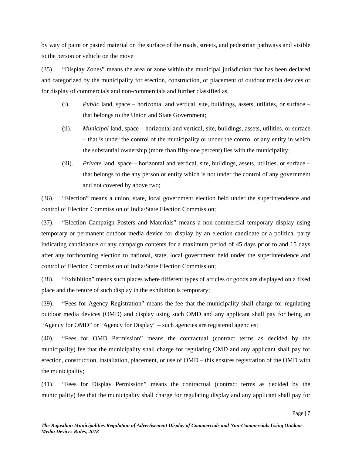by way of paint or pasted material on the surface of the roads, streets, and pedestrian pathways and visible to the person or vehicle on the move

(35). "Display Zones" means the area or zone within the municipal jurisdiction that has been declared and categorized by the municipality for erection, construction, or placement of outdoor media devices or for display of commercials and non-commercials and further classified as,

- (i). *Public* land, space horizontal and vertical, site, buildings, assets, utilities, or surface that belongs to the Union and State Government;
- (ii). *Municipal* land, space horizontal and vertical, site, buildings, assets, utilities, or surface – that is under the control of the municipality or under the control of any entity in which the substantial ownership (more than fifty-one percent) lies with the municipality;
- (iii). *Private* land, space horizontal and vertical, site, buildings, assets, utilities, or surface that belongs to the any person or entity which is not under the control of any government and not covered by above two;

(36). "Election" means a union, state, local government election held under the superintendence and control of Election Commission of India/State Election Commission;

(37). "Election Campaign Posters and Materials" means a non-commercial temporary display using temporary or permanent outdoor media device for display by an election candidate or a political party indicating candidature or any campaign contents for a maximum period of 45 days prior to and 15 days after any forthcoming election to national, state, local government held under the superintendence and control of Election Commission of India/State Election Commission;

(38). "Exhibition" means such places where different types of articles or goods are displayed on a fixed place and the tenure of such display in the exhibition is temporary;

(39). "Fees for Agency Registration" means the fee that the municipality shall charge for regulating outdoor media devices (OMD) and display using such OMD and any applicant shall pay for being an "Agency for OMD" or "Agency for Display" – such agencies are registered agencies;

(40). "Fees for OMD Permission" means the contractual (contract terms as decided by the municipality) fee that the municipality shall charge for regulating OMD and any applicant shall pay for erection, construction, installation, placement, or use of OMD – this ensures registration of the OMD with the municipality;

(41). "Fees for Display Permission" means the contractual (contract terms as decided by the municipality) fee that the municipality shall charge for regulating display and any applicant shall pay for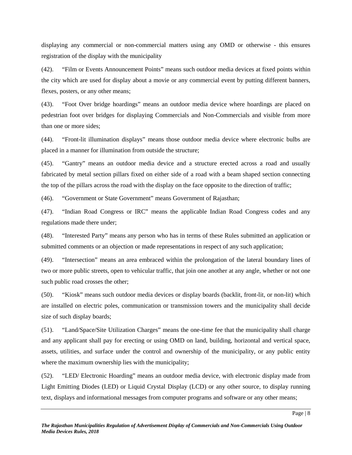displaying any commercial or non-commercial matters using any OMD or otherwise -this ensures registration of the display with the municipality

(42). "Film or Events Announcement Points" means such outdoor media devices at fixed points within the city which are used for display about a movie or any commercial event by putting different banners, flexes, posters, or any other means;

(43). "Foot Over bridge hoardings" means an outdoor media device where hoardings are placed on pedestrian foot over bridges for displaying Commercials and Non-Commercials and visible from more than one or more sides;

(44). "Front-lit illumination displays" means those outdoor media device where electronic bulbs are placed in a manner for illumination from outside the structure;

(45). "Gantry" means an outdoor media device and a structure erected across a road and usually fabricated by metal section pillars fixed on either side of a road with a beam shaped section connecting the top of the pillars across the road with the display on the face opposite to the direction of traffic;

(46). "Government or State Government" means Government of Rajasthan;

(47). "Indian Road Congress or IRC" means the applicable Indian Road Congress codes and any regulations made there under;

(48). "Interested Party" means any person who has in terms of these Rules submitted an application or submitted comments or an objection or made representations in respect of any such application;

(49). "Intersection" means an area embraced within the prolongation of the lateral boundary lines of two or more public streets, open to vehicular traffic, that join one another at any angle, whether or not one such public road crosses the other;

(50). "Kiosk" means such outdoor media devices or display boards (backlit, front-lit, or non-lit) which are installed on electric poles, communication or transmission towers and the municipality shall decide size of such display boards;

(51). "Land/Space/Site Utilization Charges" means the one-time fee that the municipality shall charge and any applicant shall pay for erecting or using OMD on land, building, horizontal and vertical space, assets, utilities, and surface under the control and ownership of the municipality, or any public entity where the maximum ownership lies with the municipality;

(52). "LED/ Electronic Hoarding" means an outdoor media device, with electronic display made from Light Emitting Diodes (LED) or Liquid Crystal Display (LCD) or any other source, to display running text, displays and informational messages from computer programs and software or any other means;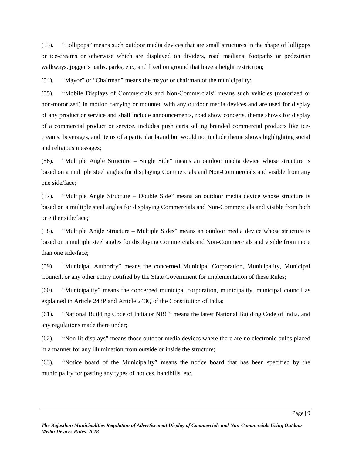(53). "Lollipops" means such outdoor media devices that are small structures in the shape of lollipops or ice-creams or otherwise which are displayed on dividers, road medians, footpaths or pedestrian walkways, jogger's paths, parks, etc., and fixed on ground that have a height restriction;

(54). "Mayor" or "Chairman" means the mayor or chairman of the municipality;

(55). "Mobile Displays of Commercials and Non-Commercials" means such vehicles (motorized or non-motorized) in motion carrying or mounted with any outdoor media devices and are used for display of any product or service and shall include announcements, road show concerts, theme shows for display of a commercial product or service, includes push carts selling branded commercial products like ice creams, beverages, and items of a particular brand but would not include theme shows highlighting social and religious messages;

(56). "Multiple Angle Structure – Single Side" means an outdoor media device whose structure is based on a multiple steel angles for displaying Commercials and Non-Commercials and visible from any one side/face;

(57). "Multiple Angle Structure – Double Side" means an outdoor media device whose structure is based on a multiple steel angles for displaying Commercials and Non-Commercials and visible from both or either side/face;

(58). "Multiple Angle Structure – Multiple Sides" means an outdoor media device whose structure is based on a multiple steel angles for displaying Commercials and Non-Commercials and visible from more than one side/face;

(59). "Municipal Authority" means the concerned Municipal Corporation, Municipality, Municipal Council, or any other entity notified by the State Government for implementation of these Rules;

(60). "Municipality" means the concerned municipal corporation, municipality, municipal council as explained in Article 243P and Article 243Q of the Constitution of India;

(61). "National Building Code of India or NBC" means the latest National Building Code of India, and any regulations made there under;

(62). "Non-lit displays" means those outdoor media devices where there are no electronic bulbs placed in a manner for any illumination from outside or inside the structure;

(63). "Notice board of the Municipality" means the notice board that has been specified by the municipality for pasting any types of notices, handbills, etc.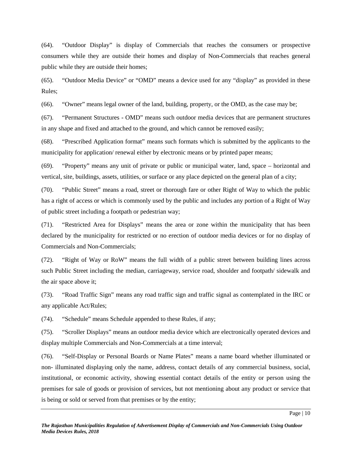(64). "Outdoor Display" is display of Commercials that reaches the consumers or prospective consumers while they are outside their homes and display of Non-Commercials that reaches general public while they are outside their homes;

(65). "Outdoor Media Device" or "OMD" means a device used for any "display" as provided in these Rules;

(66). "Owner" means legal owner of the land, building, property, or the OMD, as the case may be;

(67). "Permanent Structures - OMD" means such outdoor media devices that are permanent structures in any shape and fixed and attached to the ground, and which cannot be removed easily;

(68). "Prescribed Application format" means such formats which is submitted by the applicants to the municipality for application/ renewal either by electronic means or by printed paper means;

(69). "Property" means any unit of private or public or municipal water, land, space – horizontal and vertical, site, buildings, assets, utilities, or surface or any place depicted on the general plan of a city;

(70). "Public Street" means a road, street or thorough fare or other Right of Way to which the public has a right of access or which is commonly used by the public and includes any portion of a Right of Way of public street including a footpath or pedestrian way;

(71). "Restricted Area for Displays" means the area or zone within the municipality that has been declared by the municipality for restricted or no erection of outdoor media devices or for no display of Commercials and Non-Commercials;

(72). "Right of Way or RoW" means the full width of a public street between building lines across such Public Street including the median, carriageway, service road, shoulder and footpath/ sidewalk and the air space above it;

(73). "Road Traffic Sign" means any road traffic sign and traffic signal as contemplated in the IRC or any applicable Act/Rules;

(74). "Schedule" means Schedule appended to these Rules, if any;

(75). "Scroller Displays" means an outdoor media device which are electronically operated devices and display multiple Commercials and Non-Commercials at a time interval;

(76). "Self-Display or Personal Boards or Name Plates" means a name board whether illuminated or non- illuminated displaying only the name, address, contact details of any commercial business, social, institutional, or economic activity, showing essential contact details of the entity or person using the premises for sale of goods or provision of services, but not mentioning about any product or service that is being or sold or served from that premises or by the entity;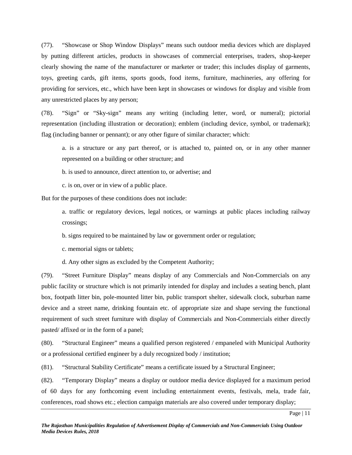(77). "Showcase or Shop Window Displays" means such outdoor media devices which are displayed by putting different articles, products in showcases of commercial enterprises, traders, shop-keeper clearly showing the name of the manufacturer or marketer or trader; this includes display of garments, toys, greeting cards, gift items, sports goods, food items, furniture, machineries, any offering for providing for services, etc., which have been kept in showcases or windows for display and visible from any unrestricted places by any person;

(78). "Sign" or "Sky-sign" means any writing (including letter, word, or numeral); pictorial representation (including illustration or decoration); emblem (including device, symbol, or trademark); flag (including banner or pennant); or any other figure of similar character; which:

a. is a structure or any part thereof, or is attached to, painted on, or in any other manner represented on a building or other structure; and

b. is used to announce, direct attention to, or advertise; and

c. is on, over or in view of a public place.

But for the purposes of these conditions does not include:

a. traffic or regulatory devices, legal notices, or warnings at public places including railway crossings;

b. signs required to be maintained by law or government order or regulation;

c. memorial signs or tablets;

d. Any other signs as excluded by the Competent Authority;

(79). "Street Furniture Display" means display of any Commercials and Non-Commercials on any public facility or structure which is not primarily intended for display and includes a seating bench, plant box, footpath litter bin, pole-mounted litter bin, public transport shelter, sidewalk clock, suburban name device and a street name, drinking fountain etc. of appropriate size and shape serving the functional requirement of such street furniture with display of Commercials and Non-Commercials either directly pasted/ affixed or in the form of a panel;

(80). "Structural Engineer" means a qualified person registered / empaneled with Municipal Authority or a professional certified engineer by a duly recognized body / institution;

(81). "Structural Stability Certificate" means a certificate issued by a Structural Engineer;

(82). "Temporary Display" means a display or outdoor media device displayed for a maximum period of 60 days for any forthcoming event including entertainment events, festivals, mela, trade fair, conferences, road shows etc.; election campaign materials are also covered under temporary display;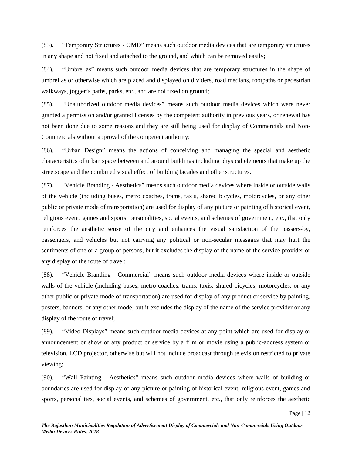(83). "Temporary Structures - OMD" means such outdoor media devices that are temporary structures in any shape and not fixed and attached to the ground, and which can be removed easily;

(84). "Umbrellas" means such outdoor media devices that are temporary structures in the shape of umbrellas or otherwise which are placed and displayed on dividers, road medians, footpaths or pedestrian walkways, jogger's paths, parks, etc., and are not fixed on ground;

(85). "Unauthorized outdoor media devices" means such outdoor media devices which were never granted a permission and/or granted licenses by the competent authority in previous years, or renewal has not been done due to some reasons and they are still being used for display of Commercials and Non- Commercials without approval of the competent authority;

(86). "Urban Design" means the actions of conceiving and managing the special and aesthetic characteristics of urban space between and around buildings including physical elements that make up the streetscape and the combined visual effect of building facades and other structures.

(87). "Vehicle Branding - Aesthetics" means such outdoor media devices where inside or outside walls of the vehicle (including buses, metro coaches, trams, taxis, shared bicycles, motorcycles, or any other public or private mode of transportation) are used for display of any picture or painting of historical event, religious event, games and sports, personalities, social events, and schemes of government, etc., that only reinforces the aesthetic sense of the city and enhances the visual satisfaction of the passers-by, passengers, and vehicles but not carrying any political or non-secular messages that may hurt the sentiments of one or a group of persons, but it excludes the display of the name of the service provider or any display of the route of travel;

(88). "Vehicle Branding - Commercial" means such outdoor media devices where inside or outside walls of the vehicle (including buses, metro coaches, trams, taxis, shared bicycles, motorcycles, or any other public or private mode of transportation) are used for display of any product or service by painting, posters, banners, or any other mode, but it excludes the display of the name of the service provider or any display of the route of travel;

(89). "Video Displays" means such outdoor media devices at any point which are used for display or announcement or show of any product or service by a film or movie using a public-address system or television, LCD projector, otherwise but will not include broadcast through television restricted to private viewing;

(90). "Wall Painting - Aesthetics" means such outdoor media devices where walls of building or boundaries are used for display of any picture or painting of historical event, religious event, games and sports, personalities, social events, and schemes of government, etc., that only reinforces the aesthetic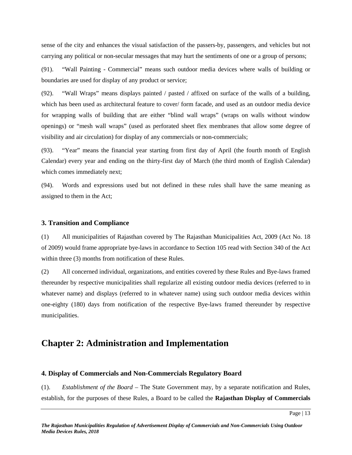sense of the city and enhances the visual satisfaction of the passers-by, passengers, and vehicles but not carrying any political or non-secular messages that may hurt the sentiments of one or a group of persons;

(91). "Wall Painting - Commercial" means such outdoor media devices where walls of building or boundaries are used for display of any product or service;

(92). "Wall Wraps" means displays painted / pasted / affixed on surface of the walls of a building, which has been used as architectural feature to cover/ form facade, and used as an outdoor media device for wrapping walls of building that are either "blind wall wraps" (wraps on walls without window openings) or "mesh wall wraps" (used as perforated sheet flex membranes that allow some degree of visibility and air circulation) for display of any commercials or non-commercials;

(93). "Year" means the financial year starting from first day of April (the fourth month of English Calendar) every year and ending on the thirty-first day of March (the third month of English Calendar) which comes immediately next;

(94). Words and expressions used but not defined in these rules shall have the same meaning as assigned to them in the Act;

#### **3. Transition and Compliance**

(1) All municipalities of Rajasthan covered by The Rajasthan Municipalities Act, 2009 (Act No. 18 of 2009) would frame appropriate bye-laws in accordance to Section 105 read with Section 340 of the Act within three (3) months from notification of these Rules.

(2) All concerned individual, organizations, and entities covered by these Rules and Bye-laws framed thereunder by respective municipalities shall regularize all existing outdoor media devices (referred to in whatever name) and displays (referred to in whatever name) using such outdoor media devices within one-eighty (180) days from notification of the respective Bye-laws framed thereunder by respective municipalities.

## **Chapter 2: Administration and Implementation**

#### **4. Display of Commercials and Non-Commercials Regulatory Board**

(1). *Establishment of the Board* – The State Government may, by a separate notification and Rules, establish, for the purposes of these Rules, a Board to be called the **Rajasthan Display of Commercials**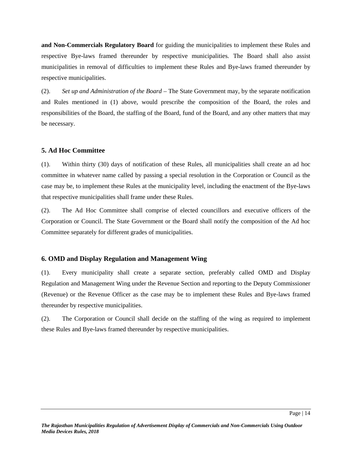**and Non-Commercials Regulatory Board** for guiding the municipalities to implement these Rules and respective Bye-laws framed thereunder by respective municipalities. The Board shall also assist municipalities in removal of difficulties to implement these Rules and Bye-laws framed thereunder by respective municipalities.

(2). *Set up and Administration of the Board* – The State Government may, by the separate notification and Rules mentioned in (1) above, would prescribe the composition of the Board, the roles and responsibilities of the Board, the staffing of the Board, fund of the Board, and any other matters that may be necessary.

#### **5. Ad Hoc Committee**

(1). Within thirty (30) days of notification of these Rules, all municipalities shall create an ad hoc committee in whatever name called by passing a special resolution in the Corporation or Council as the case may be, to implement these Rules at the municipality level, including the enactment of the Bye-laws that respective municipalities shall frame under these Rules.

(2). The Ad Hoc Committee shall comprise of elected councillors and executive officers of the Corporation or Council. The State Government or the Board shall notify the composition of the Ad hoc Committee separately for different grades of municipalities.

## **6. OMD and Display Regulation and Management Wing**

(1). Every municipality shall create a separate section, preferably called OMD and Display Regulation and Management Wing under the Revenue Section and reporting to the Deputy Commissioner (Revenue) or the Revenue Officer as the case may be to implement these Rules and Bye-laws framed thereunder by respective municipalities.

(2). The Corporation or Council shall decide on the staffing of the wing as required to implement these Rules and Bye-laws framed thereunder by respective municipalities.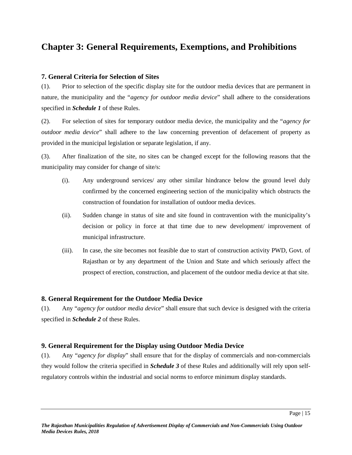## **Chapter 3: General Requirements, Exemptions, and Prohibitions**

### **7. General Criteria for Selection of Sites**

(1). Prior to selection of the specific display site for the outdoor media devices that are permanent in nature, the municipality and the "*agency for outdoor media device*" shall adhere to the considerations specified in *Schedule 1* of these Rules.

(2). For selection of sites for temporary outdoor media device, the municipality and the "*agency for outdoor media device*" shall adhere to the law concerning prevention of defacement of property as provided in the municipal legislation or separate legislation, if any.

(3). After finalization of the site, no sites can be changed except for the following reasons that the municipality may consider for change of site/s:

- (i). Any underground services/ any other similar hindrance below the ground level duly confirmed by the concerned engineering section of the municipality which obstructs the construction of foundation for installation of outdoor media devices.
- (ii). Sudden change in status of site and site found in contravention with the municipality's decision or policy in force at that time due to new development/ improvement of municipal infrastructure.
- (iii). In case, the site becomes not feasible due to start of construction activity PWD, Govt. of Rajasthan or by any department of the Union and State and which seriously affect the prospect of erection, construction, and placement of the outdoor media device at that site.

## **8. General Requirement for the Outdoor Media Device**

(1). Any "*agency for outdoor media device*" shall ensure that such device is designed with the criteria specified in *Schedule 2* of these Rules.

## **9. General Requirement for the Display using Outdoor Media Device**

(1). Any "*agency for display*" shall ensure that for the display of commercials and non-commercials they would follow the criteria specified in *Schedule 3* of these Rules and additionally will rely upon selfregulatory controls within the industrial and social norms to enforce minimum display standards.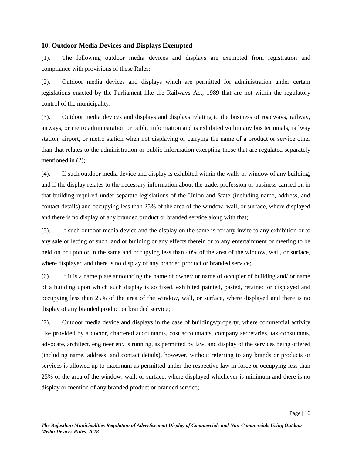#### **10. Outdoor Media Devices and Displays Exempted**

(1). The following outdoor media devices and displays are exempted from registration and compliance with provisions of these Rules:

(2). Outdoor media devices and displays which are permitted for administration under certain legislations enacted by the Parliament like the Railways Act, 1989 that are not within the regulatory control of the municipality;

(3). Outdoor media devices and displays and displays relating to the business of roadways, railway, airways, or metro administration or public information and is exhibited within any bus terminals, railway station, airport, or metro station when not displaying or carrying the name of a product or service other than that relates to the administration or public information excepting those that are regulated separately mentioned in  $(2)$ ;

(4). If such outdoor media device and display is exhibited within the walls or window of any building, and if the display relates to the necessary information about the trade, profession or business carried on in that building required under separate legislations of the Union and State (including name, address, and contact details) and occupying less than 25% of the area of the window, wall, or surface, where displayed and there is no display of any branded product or branded service along with that;

(5). If such outdoor media device and the display on the same is for any invite to any exhibition or to any sale or letting of such land or building or any effects therein or to any entertainment or meeting to be held on or upon or in the same and occupying less than 40% of the area of the window, wall, or surface, where displayed and there is no display of any branded product or branded service;

(6). If it is a name plate announcing the name of owner/ or name of occupier of building and/ or name of a building upon which such display is so fixed, exhibited painted, pasted, retained or displayed and occupying less than 25% of the area of the window, wall, or surface, where displayed and there is no display of any branded product or branded service;

(7). Outdoor media device and displays in the case of buildings/property, where commercial activity like provided by a doctor, chartered accountants, cost accountants, company secretaries, tax consultants, advocate, architect, engineer etc. is running, as permitted by law, and display of the services being offered (including name, address, and contact details), however, without referring to any brands or products or services is allowed up to maximum as permitted under the respective law in force or occupying less than 25% of the area of the window, wall, or surface, where displayed whichever is minimum and there is no display or mention of any branded product or branded service;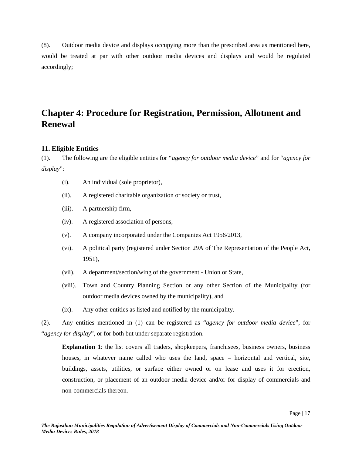(8). Outdoor media device and displays occupying more than the prescribed area as mentioned here, would be treated at par with other outdoor media devices and displays and would be regulated accordingly;

## **Chapter 4: Procedure for Registration, Permission, Allotment and Renewal**

### **11. Eligible Entities**

(1). The following are the eligible entities for "*agency for outdoor media device*" and for "*agency for display*":

- (i). An individual (sole proprietor),
- (ii). A registered charitable organization or society or trust,
- (iii). A partnership firm,
- (iv). A registered association of persons,
- (v). A company incorporated under the Companies Act 1956/2013,
- (vi). A political party (registered under Section 29A of The Representation of the People Act, 1951),
- (vii). A department/section/wing of the government Union or State,
- (viii). Town and Country Planning Section or any other Section of the Municipality (for outdoor media devices owned by the municipality), and
- (ix). Any other entities as listed and notified by the municipality.

(2). Any entities mentioned in (1) can be registered as "*agency for outdoor media device*", for "*agency for display*", or for both but under separate registration.

**Explanation** 1: the list covers all traders, shopkeepers, franchisees, business owners, business houses, in whatever name called who uses the land, space – horizontal and vertical, site, buildings, assets, utilities, or surface either owned or on lease and uses it for erection, construction, or placement of an outdoor media device and/or for display of commercials and non-commercials thereon.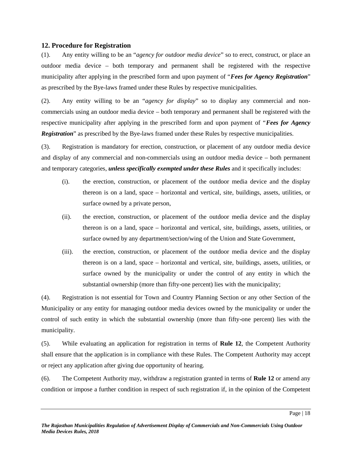#### **12. Procedure for Registration**

(1). Any entity willing to be an "*agency for outdoor media device*" so to erect, construct, or place an outdoor media device – both temporary and permanent shall be registered with the respective municipality after applying in the prescribed form and upon payment of "*Fees for Agency Registration*" as prescribed by the Bye-laws framed under these Rules by respective municipalities.

(2). Any entity willing to be an "*agency for display*" so to display any commercial and non commercials using an outdoor media device – both temporary and permanent shall be registered with the respective municipality after applying in the prescribed form and upon payment of "*Fees for Agency Registration*" as prescribed by the Bye-laws framed under these Rules by respective municipalities.

(3). Registration is mandatory for erection, construction, or placement of any outdoor media device and display of any commercial and non-commercials using an outdoor media device – both permanent and temporary categories, *unless specifically exempted under these Rules* and it specifically includes:

- (i). the erection, construction, or placement of the outdoor media device and the display thereon is on a land, space – horizontal and vertical, site, buildings, assets, utilities, or surface owned by a private person,
- (ii). the erection, construction, or placement of the outdoor media device and the display thereon is on a land, space – horizontal and vertical, site, buildings, assets, utilities, or surface owned by any department/section/wing of the Union and State Government,
- (iii). the erection, construction, or placement of the outdoor media device and the display thereon is on a land, space – horizontal and vertical, site, buildings, assets, utilities, or surface owned by the municipality or under the control of any entity in which the substantial ownership (more than fifty-one percent) lies with the municipality;

(4). Registration is not essential for Town and Country Planning Section or any other Section of the Municipality or any entity for managing outdoor media devices owned by the municipality or under the control of such entity in which the substantial ownership (more than fifty-one percent) lies with the municipality.

(5). While evaluating an application for registration in terms of **Rule 12**, the Competent Authority shall ensure that the application is in compliance with these Rules. The Competent Authority may accept or reject any application after giving due opportunity of hearing.

(6). The Competent Authority may, withdraw a registration granted in terms of **Rule 12** or amend any condition or impose a further condition in respect of such registration if, in the opinion of the Competent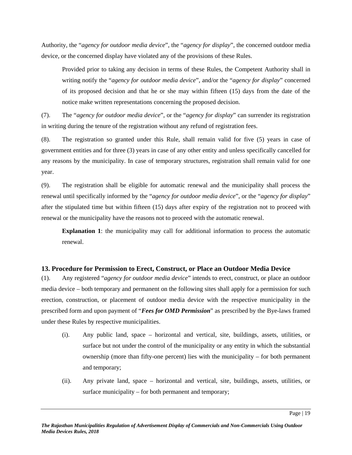Authority, the "*agency for outdoor media device*", the "*agency for display*", the concerned outdoor media device, or the concerned display have violated any of the provisions of these Rules.

Provided prior to taking any decision in terms of these Rules, the Competent Authority shall in writing notify the "*agency for outdoor media device*", and/or the "*agency for display*" concerned of its proposed decision and that he or she may within fifteen (15) days from the date of the notice make written representations concerning the proposed decision.

(7). The "*agency for outdoor media device*", or the "*agency for display*" can surrender its registration in writing during the tenure of the registration without any refund of registration fees.

(8). The registration so granted under this Rule, shall remain valid for five (5) years in case of government entities and for three (3) years in case of any other entity and unless specifically cancelled for any reasons by the municipality. In case of temporary structures, registration shall remain valid for one year.

(9). The registration shall be eligible for automatic renewal and the municipality shall process the renewal until specifically informed by the "*agency for outdoor media device*", or the "*agency for display*" after the stipulated time but within fifteen (15) days after expiry of the registration not to proceed with renewal or the municipality have the reasons not to proceed with the automatic renewal.

**Explanation 1**: the municipality may call for additional information to process the automatic renewal.

#### **13. Procedure for Permission to Erect, Construct, or Place an Outdoor Media Device**

(1). Any registered "*agency for outdoor media device*" intends to erect, construct, or place an outdoor media device – both temporary and permanent on the following sites shall apply for a permission for such erection, construction, or placement of outdoor media device with the respective municipality in the prescribed form and upon payment of "*Fees for OMD Permission*" as prescribed by the Bye-laws framed under these Rules by respective municipalities.

- (i). Any public land, space horizontal and vertical, site, buildings, assets, utilities, or surface but not under the control of the municipality or any entity in which the substantial ownership (more than fifty-one percent) lies with the municipality – for both permanent and temporary;
- (ii). Any private land, space horizontal and vertical, site, buildings, assets, utilities, or surface municipality – for both permanent and temporary;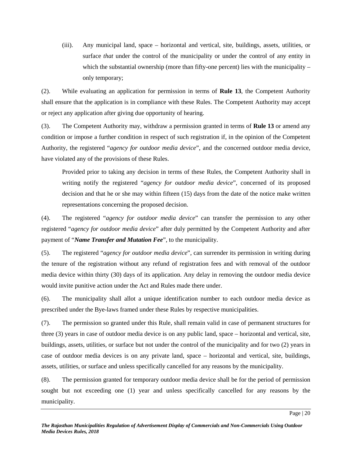(iii). Any municipal land, space – horizontal and vertical, site, buildings, assets, utilities, or surface *that* under the control of the municipality or under the control of any entity in which the substantial ownership (more than fifty-one percent) lies with the municipality  $$ only temporary;

(2). While evaluating an application for permission in terms of **Rule 13**, the Competent Authority shall ensure that the application is in compliance with these Rules. The Competent Authority may accept or reject any application after giving due opportunity of hearing.

(3). The Competent Authority may, withdraw a permission granted in terms of **Rule 13** or amend any condition or impose a further condition in respect of such registration if, in the opinion of the Competent Authority, the registered "*agency for outdoor media device*", and the concerned outdoor media device, have violated any of the provisions of these Rules.

Provided prior to taking any decision in terms of these Rules, the Competent Authority shall in writing notify the registered "*agency for outdoor media device*", concerned of its proposed decision and that he or she may within fifteen (15) days from the date of the notice make written representations concerning the proposed decision.

(4). The registered "*agency for outdoor media device*" can transfer the permission to any other registered "*agency for outdoor media device*" after duly permitted by the Competent Authority and after payment of "*Name Transfer and Mutation Fee*", to the municipality.

(5). The registered "*agency for outdoor media device*", can surrender its permission in writing during the tenure of the registration without any refund of registration fees and with removal of the outdoor media device within thirty (30) days of its application. Any delay in removing the outdoor media device would invite punitive action under the Act and Rules made there under.

(6). The municipality shall allot a unique identification number to each outdoor media device as prescribed under the Bye-laws framed under these Rules by respective municipalities.

(7). The permission so granted under this Rule, shall remain valid in case of permanent structures for three (3) years in case of outdoor media device is on any public land, space – horizontal and vertical, site, buildings, assets, utilities, or surface but not under the control of the municipality and for two (2) years in case of outdoor media devices is on any private land, space – horizontal and vertical, site, buildings, assets, utilities, or surface and unless specifically cancelled for any reasons by the municipality.

(8). The permission granted for temporary outdoor media device shall be for the period of permission sought but not exceeding one (1) year and unless specifically cancelled for any reasons by the municipality.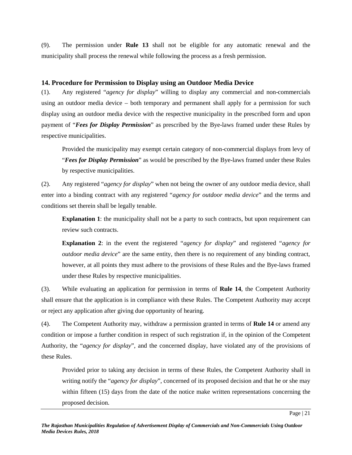(9). The permission under **Rule 13** shall not be eligible for any automatic renewal and the municipality shall process the renewal while following the process as a fresh permission.

## **14. Procedure for Permission to Display using an Outdoor Media Device**

(1). Any registered "*agency for display*" willing to display any commercial and non-commercials using an outdoor media device – both temporary and permanent shall apply for a permission for such display using an outdoor media device with the respective municipality in the prescribed form and upon payment of "*Fees for Display Permission*" as prescribed by the Bye-laws framed under these Rules by respective municipalities.

Provided the municipality may exempt certain category of non-commercial displays from levy of "*Fees for Display Permission*" as would be prescribed by the Bye-laws framed under these Rules by respective municipalities.

(2). Any registered "*agency for display*" when not being the owner of any outdoor media device, shall enter into a binding contract with any registered "*agency for outdoor media device*" and the terms and conditions set therein shall be legally tenable.

**Explanation** 1: the municipality shall not be a party to such contracts, but upon requirement can review such contracts.

**Explanation 2**: in the event the registered "*agency for display*" and registered "*agency for outdoor media device*" are the same entity, then there is no requirement of any binding contract, however, at all points they must adhere to the provisions of these Rules and the Bye-laws framed under these Rules by respective municipalities.

(3). While evaluating an application for permission in terms of **Rule 14**, the Competent Authority shall ensure that the application is in compliance with these Rules. The Competent Authority may accept or reject any application after giving due opportunity of hearing.

(4). The Competent Authority may, withdraw a permission granted in terms of **Rule 14** or amend any condition or impose a further condition in respect of such registration if, in the opinion of the Competent Authority, the "*agency for display*", and the concerned display, have violated any of the provisions of these Rules.

Provided prior to taking any decision in terms of these Rules, the Competent Authority shall in writing notify the "*agency for display*", concerned of its proposed decision and that he or she may within fifteen (15) days from the date of the notice make written representations concerning the proposed decision.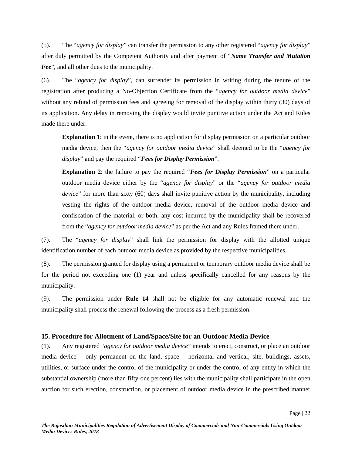(5). The "*agency for display*" can transfer the permission to any other registered "*agency for display*" after duly permitted by the Competent Authority and after payment of "*Name Transfer and Mutation Fee*", and all other dues to the municipality.

(6). The "*agency for display*", can surrender its permission in writing during the tenure of the registration after producing a No-Objection Certificate from the "*agency for outdoor media device*" without any refund of permission fees and agreeing for removal of the display within thirty (30) days of its application. Any delay in removing the display would invite punitive action under the Act and Rules made there under.

**Explanation 1**: in the event, there is no application for display permission on a particular outdoor media device, then the "*agency for outdoor media device*" shall deemed to be the "*agency for display*" and pay the required "*Fees for Display Permission*".

**Explanation 2**: the failure to pay the required "*Fees for Display Permission*" on a particular outdoor media device either by the "*agency for display*" or the "*agency for outdoor media device*" for more than sixty (60) days shall invite punitive action by the municipality, including vesting the rights of the outdoor media device, removal of the outdoor media device and confiscation of the material, or both; any cost incurred by the municipality shall be recovered from the "*agency for outdoor media device*" as per the Act and any Rules framed there under.

(7). The "*agency for display*" shall link the permission for display with the allotted unique identification number of each outdoor media device as provided by the respective municipalities.

(8). The permission granted for display using a permanent or temporary outdoor media device shall be for the period not exceeding one (1) year and unless specifically cancelled for any reasons by the municipality.

(9). The permission under **Rule 14** shall not be eligible for any automatic renewal and the municipality shall process the renewal following the process as a fresh permission.

## **15. Procedure for Allotment of Land/Space/Site for an Outdoor Media Device**

(1). Any registered "*agency for outdoor media device*" intends to erect, construct, or place an outdoor media device – only permanent on the land, space – horizontal and vertical, site, buildings, assets, utilities, or surface under the control of the municipality orunder the control of any entity in which the substantial ownership (more than fifty-one percent) lies with the municipality shall participate in the open auction for such erection, construction, or placement of outdoor media device in the prescribed manner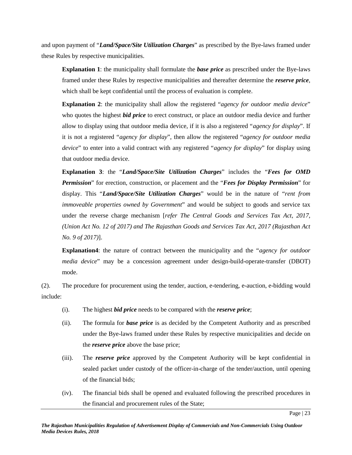and upon payment of "*Land/Space/Site Utilization Charges*" as prescribed by the Bye-laws framed under these Rules by respective municipalities.

**Explanation 1**: the municipality shall formulate the *base price* as prescribed under the Bye-laws framed under these Rules by respective municipalities and thereafter determine the *reserve price*, which shall be kept confidential until the process of evaluation is complete.

**Explanation 2**: the municipality shall allow the registered "*agency for outdoor media device*" who quotes the highest *bid price* to erect construct, or place an outdoor media device and further allow to display using that outdoor media device, if it is also a registered "*agency for display*". If it is not a registered "*agency for display*", then allow the registered "*agency for outdoor media device*" to enter into a valid contract with any registered "*agency for display*" for display using that outdoor media device.

**Explanation 3**: the "*Land/Space/Site Utilization Charges*" includes the "*Fees for OMD Permission*" for erection, construction, or placement and the "*Fees for Display Permission*" for display. This "*Land/Space/Site Utilization Charges*" would be in the nature of "*rent from immoveable properties owned by Government*" and would be subject to goods and service tax under the reverse charge mechanism [*refer The Central Goods and Services Tax Act, 2017, (Union Act No. 12 of 2017) and The Rajasthan Goods and Services Tax Act, 2017 (Rajasthan Act No. 9 of 2017)*].

**Explanation4**: the nature of contract between the municipality and the "*agency for outdoor media device*" may be a concession agreement under design-build-operate-transfer (DBOT) mode.

(2). The procedure for procurement using the tender, auction, e-tendering, e-auction, e-bidding would include:

- (i). The highest *bid price* needs to be compared with the *reserve price*;
- (ii). The formula for *base price* is as decided by the Competent Authority and as prescribed under the Bye-laws framed under these Rules by respective municipalities and decide on the *reserve price* above the base price;
- (iii). The *reserve price* approved by the Competent Authority will be kept confidential in sealed packet under custody of the officer-in-charge of the tender/auction, until opening of the financial bids;
- (iv). The financial bids shall be opened and evaluated following the prescribed procedures in the financial and procurement rules of the State;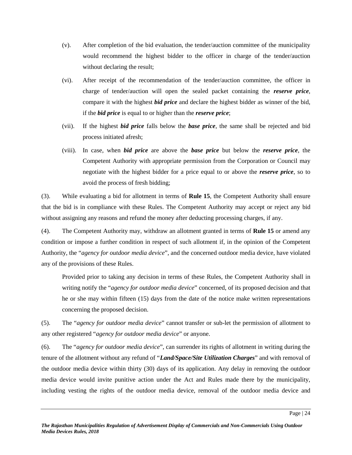- (v). After completion of the bid evaluation, the tender/auction committee of the municipality would recommend the highest bidder to the officer in charge of the tender/auction without declaring the result;
- (vi). After receipt of the recommendation of the tender/auction committee, the officer in charge of tender/auction will open the sealed packet containing the *reserve price*, compare it with the highest *bid price* and declare the highest bidder as winner of the bid, if the *bid price* is equal to or higher than the *reserve price*;
- (vii). If the highest *bid price* falls below the *base price*, the same shall be rejected and bid process initiated afresh;
- (viii). In case, when *bid price* are above the *base price* but below the *reserve price*, the Competent Authority with appropriate permission from the Corporation or Council may negotiate with the highest bidder for a price equal to or above the *reserve price*, so to avoid the process of fresh bidding;

(3). While evaluating a bid for allotment in terms of **Rule 15**, the Competent Authority shall ensure that the bid is in compliance with these Rules. The Competent Authority may accept or reject any bid without assigning any reasons and refund the money after deducting processing charges, if any.

(4). The Competent Authority may, withdraw an allotment granted in terms of **Rule 15** or amend any condition or impose a further condition in respect of such allotment if, in the opinion of the Competent Authority, the "*agency for outdoor media device*", and the concerned outdoor media device, have violated any of the provisions of these Rules.

Provided prior to taking any decision in terms of these Rules, the Competent Authority shall in writing notify the "*agency for outdoor media device*" concerned, of its proposed decision and that he or she may within fifteen (15) days from the date of the notice make written representations concerning the proposed decision.

(5). The "*agency for outdoor media device*" cannot transfer or sub-let the permission of allotment to any other registered "*agency for outdoor media device*" or anyone.

(6). The "*agency for outdoor media device*", can surrender its rights of allotment in writing during the tenure of the allotment without any refund of "*Land/Space/Site Utilization Charges*" and with removal of the outdoor media device within thirty (30) days of its application. Any delay in removing the outdoor media device would invite punitive action under the Act and Rules made there by the municipality, including vesting the rights of the outdoor media device, removal of the outdoor media device and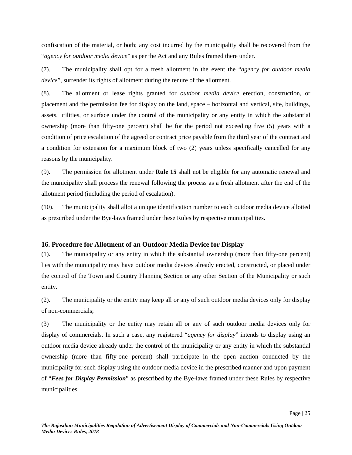confiscation of the material, or both; any cost incurred by the municipality shall be recovered from the "*agency for outdoor media device*" as per the Act and any Rules framed there under.

(7). The municipality shall opt for a fresh allotment in the event the "*agency for outdoor media device*", surrender its rights of allotment during the tenure of the allotment.

(8). The allotment or lease rights granted for *outdoor media device* erection, construction, or placement and the permission fee for display on the land, space – horizontal and vertical, site, buildings, assets, utilities, or surface under the control of the municipality or any entity in which the substantial ownership (more than fifty-one percent) shall be for the period not exceeding five (5) years with a condition of price escalation of the agreed or contract price payable from the third year of the contract and a condition for extension for a maximum block of two (2) years unless specifically cancelled for any reasons by the municipality.

(9). The permission for allotment under **Rule 15** shall not be eligible for any automatic renewal and the municipality shall process the renewal following the process as a fresh allotment after the end of the allotment period (including the period of escalation).

(10). The municipality shall allot a unique identification number to each outdoor media device allotted as prescribed under the Bye-laws framed under these Rules by respective municipalities.

## **16. Procedure for Allotment of an Outdoor Media Device for Display**

(1). The municipality or any entity in which the substantial ownership (more than fifty-one percent) lies with the municipality may have outdoor media devices already erected, constructed, or placed under the control of the Town and Country Planning Section or any other Section of the Municipality or such entity.

(2). The municipality or the entity may keep all or any of such outdoor media devices only for display of non-commercials;

(3) The municipality or the entity may retain all or any of such outdoor media devices only for display of commercials. In such a case, any registered "*agency for display*" intends to display using an outdoor media device already under the control of the municipality or any entity in which the substantial ownership (more than fifty-one percent) shall participate in the open auction conducted by the municipality for such display using the outdoor media device in the prescribed manner and upon payment of "*Fees for Display Permission*" as prescribed by the Bye-laws framed under these Rules by respective municipalities.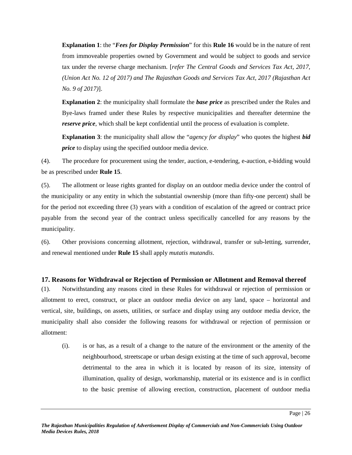**Explanation 1**: the "*Fees for Display Permission*" for this **Rule 16** would be in the nature of rent from immoveable properties owned by Government and would be subject to goods and service tax under the reverse charge mechanism. [*refer The Central Goods and Services Tax Act, 2017, (Union Act No. 12 of 2017) and The Rajasthan Goods and Services Tax Act, 2017 (Rajasthan Act No. 9 of 2017)*].

**Explanation 2**: the municipality shall formulate the *base price* as prescribed under the Rules and Bye-laws framed under these Rules by respective municipalities and thereafter determine the *reserve price*, which shall be kept confidential until the process of evaluation is complete.

**Explanation 3**: the municipality shall allow the "*agency for display*" who quotes the highest *bid price* to display using the specified outdoor media device.

(4). The procedure for procurement using the tender, auction, e-tendering, e-auction, e-bidding would be as prescribed under **Rule 15**.

(5). The allotment or lease rights granted for display on an outdoor media device under the control of the municipality or any entity in which the substantial ownership (more than fifty-one percent) shall be for the period not exceeding three (3) years with a condition of escalation of the agreed or contract price payable from the second year of the contract unless specifically cancelled for any reasons by the municipality.

(6). Other provisions concerning allotment, rejection, withdrawal, transfer or sub-letting, surrender, and renewal mentioned under **Rule 15** shall apply *mutatis mutandis*.

## **17. Reasons for Withdrawal or Rejection of Permission or Allotment and Removal thereof**

(1). Notwithstanding any reasons cited in these Rules for withdrawal or rejection of permission or allotment to erect, construct, or place an outdoor media device on any land, space – horizontal and vertical, site, buildings, on assets, utilities, or surface and display using any outdoor media device, the municipality shall also consider the following reasons for withdrawal or rejection of permission or allotment:

(i). is or has, as a result of a change to the nature of the environment or the amenity of the neighbourhood, streetscape or urban design existing at the time of such approval, become detrimental to the area in which it is located by reason of its size, intensity of illumination, quality of design, workmanship, material or its existence and is in conflict to the basic premise of allowing erection, construction, placement of outdoor media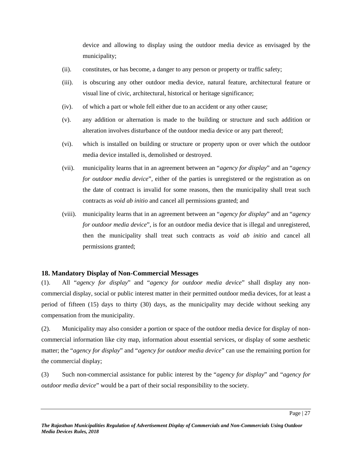device and allowing to display using the outdoor media device as envisaged by the municipality;

- (ii). constitutes, or has become, a danger to any person or property or traffic safety;
- (iii). is obscuring any other outdoor media device, natural feature, architectural feature or visual line of civic, architectural, historical or heritage significance;
- (iv). of which a part or whole fell either due to an accident or any other cause;
- (v). any addition or alternation is made to the building or structure and such addition or alteration involves disturbance of the outdoor media device or any part thereof;
- (vi). which is installed on building or structure or property upon or over which the outdoor media device installed is, demolished or destroyed.
- (vii). municipality learns that in an agreement between an "*agency for display*" and an "*agency for outdoor media device*", either of the parties is unregistered or the registration as on the date of contract is invalid for some reasons, then the municipality shall treat such contracts as *void ab initio* and cancel all permissions granted; and
- (viii). municipality learns that in an agreement between an "*agency for display*" and an "*agency for outdoor media device*", is for an outdoor media device that is illegal and unregistered, then the municipality shall treat such contracts as *void ab initio* and cancel all permissions granted;

## **18. Mandatory Display of Non-Commercial Messages**

(1). All "*agency for display*" and "*agency for outdoor media device*" shall display any non commercial display, social or public interest matter in their permitted outdoor media devices, for at least a period of fifteen (15) days to thirty (30) days, as the municipality may decide without seeking any compensation from the municipality.

(2). Municipality may also consider a portion or space of the outdoor media device for display of non commercial information like city map, information about essential services, or display of some aesthetic matter; the "*agency for display*" and "*agency for outdoor media device*" can use the remaining portion for the commercial display;

(3) Such non-commercial assistance for public interest by the "*agency for display*" and "*agency for outdoor media device*" would be a part of their social responsibility to the society.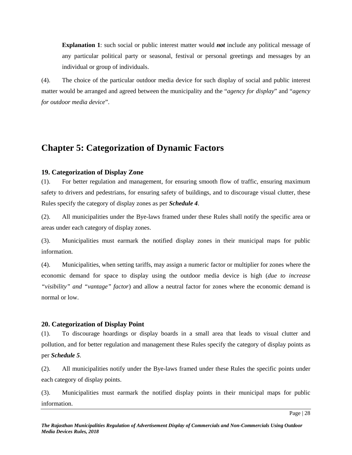**Explanation 1**: such social or public interest matter would *not* include any political message of any particular political party or seasonal, festival or personal greetings and messages by an individual or group of individuals.

(4). The choice of the particular outdoor media device for such display of social and public interest matter would be arranged and agreed between the municipality and the "*agency for display*" and "*agency for outdoor media device*".

## **Chapter 5: Categorization of Dynamic Factors**

#### **19. Categorization of Display Zone**

(1). For better regulation and management, for ensuring smooth flow of traffic, ensuring maximum safety to drivers and pedestrians, for ensuring safety of buildings, and to discourage visual clutter, these Rules specify the category of display zones as per *Schedule 4*.

(2). All municipalities under the Bye-laws framed under these Rules shall notify the specific area or areas under each category of display zones.

(3). Municipalities must earmark the notified display zones in their municipal maps for public information.

(4). Municipalities, when setting tariffs, may assign a numeric factor or multiplier for zones where the economic demand for space to display using the outdoor media device is high (*due to increase "visibility" and "vantage" factor*) and allow a neutral factor for zones where the economic demand is normal or low.

#### **20. Categorization of Display Point**

(1). To discourage hoardings or display boards in a small area that leads to visual clutter and pollution, and for better regulation and management these Rules specify the category of display points as per *Schedule 5*.

(2). All municipalities notify under the Bye-laws framed under these Rules the specific points under each category of display points.

(3). Municipalities must earmark the notified display points in their municipal maps for public information.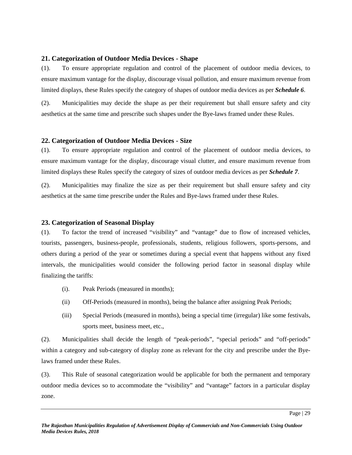#### **21. Categorization of Outdoor Media Devices - Shape**

(1). To ensure appropriate regulation and control of the placement of outdoor media devices, to ensure maximum vantage for the display, discourage visual pollution, and ensure maximum revenue from limited displays, these Rules specify the category of shapes of outdoor media devices as per *Schedule 6*.

(2). Municipalities may decide the shape as per their requirement but shall ensure safety and city aesthetics at the same time and prescribe such shapes under the Bye-laws framed under these Rules.

#### **22. Categorization of Outdoor Media Devices - Size**

(1). To ensure appropriate regulation and control of the placement of outdoor media devices, to ensure maximum vantage for the display, discourage visual clutter, and ensure maximum revenue from limited displays these Rules specify the category of sizes of outdoor media devices as per *Schedule 7*.

(2). Municipalities may finalize the size as per their requirement but shall ensure safety and city aesthetics at the same time prescribe under the Rules and Bye-laws framed under these Rules.

#### **23. Categorization of Seasonal Display**

(1). To factor the trend of increased "visibility" and "vantage" due to flow of increased vehicles, tourists, passengers, business-people, professionals, students, religious followers, sports-persons, and others during a period of the year or sometimes during a special event that happens without any fixed intervals, the municipalities would consider the following period factor in seasonal display while finalizing the tariffs:

- (i). Peak Periods (measured in months);
- (ii) Off-Periods (measured in months), being the balance after assigning Peak Periods;
- (iii) Special Periods (measured in months), being a special time (irregular) like some festivals, sports meet, business meet, etc.,

(2). Municipalities shall decide the length of "peak-periods", "special periods" and "off-periods" within a category and sub-category of display zone as relevant for the city and prescribe under the Byelaws framed under these Rules.

(3). This Rule of seasonal categorization would be applicable for both the permanent and temporary outdoor media devices so to accommodate the "visibility" and "vantage" factors in a particular display zone.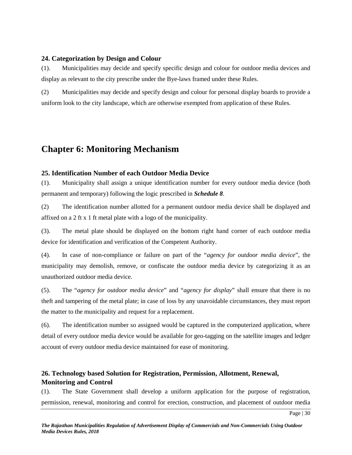#### **24. Categorization by Design and Colour**

(1). Municipalities may decide and specify specific design and colour for outdoor media devices and display as relevant to the city prescribe under the Bye-laws framed under these Rules.

(2) Municipalities may decide and specify design and colour for personal display boards to provide a uniform look to the city landscape, which are otherwise exempted from application of these Rules.

## **Chapter 6: Monitoring Mechanism**

#### **25. Identification Number of each Outdoor Media Device**

(1). Municipality shall assign a unique identification number for every outdoor media device (both permanent and temporary) following the logic prescribed in *Schedule 8*.

(2) The identification number allotted for a permanent outdoor media device shall be displayed and affixed on a 2 ft x 1 ft metal plate with a logo of the municipality.

(3). The metal plate should be displayed on the bottom right hand corner of each outdoor media device for identification and verification of the Competent Authority.

(4). In case of non-compliance or failure on part of the "*agency for outdoor media device*", the municipality may demolish, remove, or confiscate the outdoor media device by categorizing it as an unauthorized outdoor media device.

(5). The "*agency for outdoor media device*" and "*agency for display*" shall ensure that there is no theft and tampering of the metal plate; in case of loss by any unavoidable circumstances, they must report the matter to the municipality and request for a replacement.

(6). The identification number so assigned would be captured in the computerized application, where detail of every outdoor media device would be available for geo-tagging on the satellite images and ledger account of every outdoor media device maintained for ease of monitoring.

## **26. Technology based Solution for Registration, Permission, Allotment, Renewal, Monitoring and Control**

(1). The State Government shall develop a uniform application for the purpose of registration, permission, renewal, monitoring and control for erection, construction, and placement of outdoor media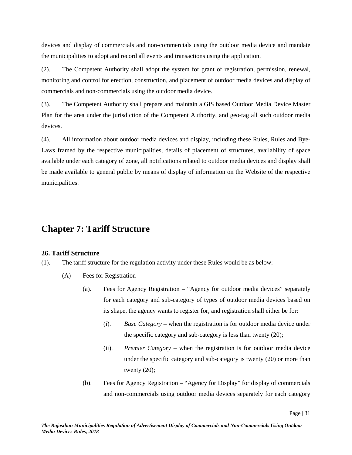devices and display of commercials and non-commercials using the outdoor media device and mandate the municipalities to adopt and record all events and transactions using the application.

(2). The Competent Authority shall adopt the system for grant of registration, permission, renewal, monitoring and control for erection, construction, and placement of outdoor media devices and display of commercials and non-commercials using the outdoor media device.

(3). The Competent Authority shall prepare and maintain a GIS based Outdoor Media Device Master Plan for the area under the jurisdiction of the Competent Authority, and geo-tag all such outdoor media devices.

(4). All information about outdoor media devices and display, including these Rules, Rules and Bye- Laws framed by the respective municipalities, details of placement of structures, availability of space available under each category of zone, all notifications related to outdoor media devices and display shall be made available to general public by means of display of information on the Website of the respective municipalities.

## **Chapter 7: Tariff Structure**

## **26. Tariff Structure**

(1). The tariff structure for the regulation activity under these Rules would be as below:

- (A) Fees for Registration
	- (a). Fees for Agency Registration "Agency for outdoor media devices" separately for each category and sub-category of types of outdoor media devices based on its shape, the agency wants to register for, and registration shall either be for:
		- (i). *Base Category* when the registration is for outdoor media device under the specific category and sub-category is less than twenty (20);
		- (ii). *Premier Category* when the registration is for outdoor media device under the specific category and sub-category is twenty (20) or more than twenty  $(20)$ ;
	- (b). Fees for Agency Registration "Agency for Display" for display of commercials and non-commercials using outdoor media devices separately for each category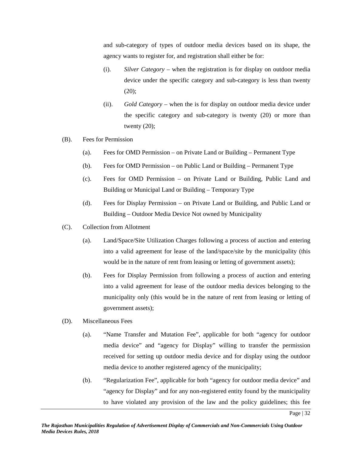and sub-category of types of outdoor media devices based on its shape, the agency wants to register for, and registration shall either be for:

- (i). *Silver Category* when the registration is for display on outdoor media device under the specific category and sub-category is less than twenty  $(20)$ ;
- (ii). *Gold Category* when the is for display on outdoor media device under the specific category and sub-category is twenty (20) or more than twenty  $(20)$ ;
- (B). Fees for Permission
	- (a). Fees for OMD Permission on Private Land or Building Permanent Type
	- (b). Fees for OMD Permission on Public Land or Building Permanent Type
	- (c). Fees for OMD Permission on Private Land or Building, Public Land and Building or Municipal Land or Building – Temporary Type
	- (d). Fees for Display Permission on Private Land or Building, and Public Land or Building – Outdoor Media Device Not owned by Municipality
- (C). Collection from Allotment
	- (a). Land/Space/Site Utilization Charges following a process of auction and entering into a valid agreement for lease of the land/space/site by the municipality (this would be in the nature of rent from leasing or letting of government assets);
	- (b). Fees for Display Permission from following a process of auction and entering into a valid agreement for lease of the outdoor media devices belonging to the municipality only (this would be in the nature of rent from leasing or letting of government assets);
- (D). Miscellaneous Fees
	- (a). "Name Transfer and Mutation Fee", applicable for both "agency for outdoor media device" and "agency for Display" willing to transfer the permission received for setting up outdoor media device and for display using the outdoor media device to another registered agency of the municipality;
	- (b). "Regularization Fee", applicable for both "agency for outdoor media device" and "agency for Display" and for any non-registered entity found by the municipality to have violated any provision of the law and the policy guidelines; this fee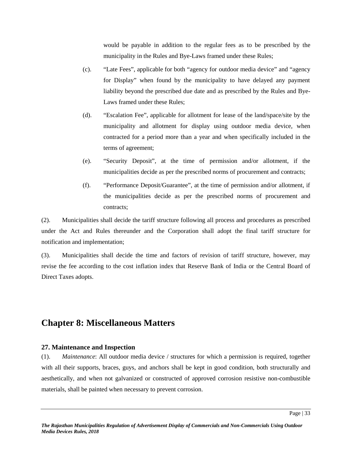would be payable in addition to the regular fees as to be prescribed by the municipality in the Rules and Bye-Laws framed under these Rules;

- (c). "Late Fees", applicable for both "agency for outdoor media device" and "agency for Display" when found by the municipality to have delayed any payment liability beyond the prescribed due date and as prescribed by the Rules and Bye- Laws framed under these Rules;
- (d). "Escalation Fee", applicable for allotment for lease of the land/space/site by the municipality and allotment for display using outdoor media device, when contracted for a period more than a year and when specifically included in the terms of agreement;
- (e). "Security Deposit", at the time of permission and/or allotment, if the municipalities decide as per the prescribed norms of procurement and contracts;
- (f). "Performance Deposit/Guarantee", at the time of permission and/or allotment, if the municipalities decide as per the prescribed norms of procurement and contracts;

(2). Municipalities shall decide the tariff structure following all process and procedures as prescribed under the Act and Rules thereunder and the Corporation shall adopt the final tariff structure for notification and implementation;

(3). Municipalities shall decide the time and factors of revision of tariff structure, however, may revise the fee according to the cost inflation index that Reserve Bank of India or the Central Board of Direct Taxes adopts.

## **Chapter 8: Miscellaneous Matters**

#### **27. Maintenance and Inspection**

(1). *Maintenance*: All outdoor media device / structures for which a permission is required, together with all their supports, braces, guys, and anchors shall be kept in good condition, both structurally and aesthetically, and when not galvanized or constructed of approved corrosion resistive non-combustible materials, shall be painted when necessary to prevent corrosion.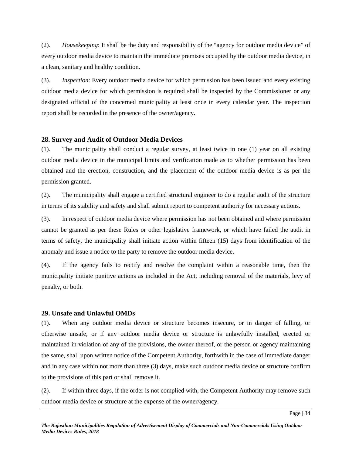(2). *Housekeeping*: It shall be the duty and responsibility of the "agency for outdoor media device" of every outdoor media device to maintain the immediate premises occupied by the outdoor media device, in a clean, sanitary and healthy condition.

(3). *Inspection*: Every outdoor media device for which permission has been issued and every existing outdoor media device for which permission is required shall be inspected by the Commissioner or any designated official of the concerned municipality at least once in every calendar year. The inspection report shall be recorded in the presence of the owner/agency.

### **28. Survey and Audit of Outdoor Media Devices**

(1). The municipality shall conduct a regular survey, at least twice in one (1) year on all existing outdoor media device in the municipal limits and verification made as to whether permission has been obtained and the erection, construction, and the placement of the outdoor media device is as per the permission granted.

(2). The municipality shall engage a certified structural engineer to do a regular audit of the structure in terms of its stability and safety and shall submit report to competent authority for necessary actions.

(3). In respect of outdoor media device where permission has not been obtained and where permission cannot be granted as per these Rules or other legislative framework, or which have failed the audit in terms of safety, the municipality shall initiate action within fifteen (15) days from identification of the anomaly and issue a notice to the party to remove the outdoor media device.

(4). If the agency fails to rectify and resolve the complaint within a reasonable time, then the municipality initiate punitive actions as included in the Act, including removal of the materials, levy of penalty, or both.

## **29. Unsafe and Unlawful OMDs**

(1). When any outdoor media device or structure becomes insecure, or in danger of falling, or otherwise unsafe, or if any outdoor media device or structure is unlawfully installed, erected or maintained in violation of any of the provisions, the owner thereof, or the person or agency maintaining the same, shall upon written notice of the Competent Authority, forthwith in the case of immediate danger and in any case within not more than three (3) days, make such outdoor media device or structure confirm to the provisions of this part or shall remove it.

(2). If within three days, if the order is not complied with, the Competent Authority may remove such outdoor media device or structure at the expense of the owner/agency.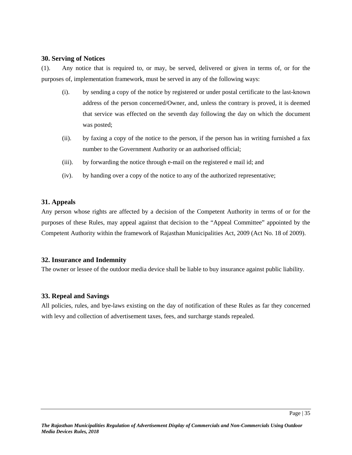#### **30. Serving of Notices**

(1). Any notice that is required to, or may, be served, delivered or given in terms of, or for the purposes of, implementation framework, must be served in any of the following ways:

- (i). by sending a copy of the notice by registered or under postal certificate to the last-known address of the person concerned/Owner, and, unless the contrary is proved, it is deemed that service was effected on the seventh day following the day on which the document was posted;
- (ii). by faxing a copy of the notice to the person, if the person has in writing furnished a fax number to the Government Authority or an authorised official;
- (iii). by forwarding the notice through e-mail on the registered e mail id; and
- (iv). by handing over a copy of the notice to any of the authorized representative;

#### **31. Appeals**

Any person whose rights are affected by a decision of the Competent Authority in terms of or for the purposes of these Rules, may appeal against that decision to the "Appeal Committee" appointed by the Competent Authority within the framework of Rajasthan Municipalities Act, 2009 (Act No. 18 of 2009).

#### **32. Insurance and Indemnity**

The owner or lessee of the outdoor media device shall be liable to buy insurance against public liability.

#### **33. Repeal and Savings**

All policies, rules, and bye-laws existing on the day of notification of these Rules as far they concerned with levy and collection of advertisement taxes, fees, and surcharge stands repealed.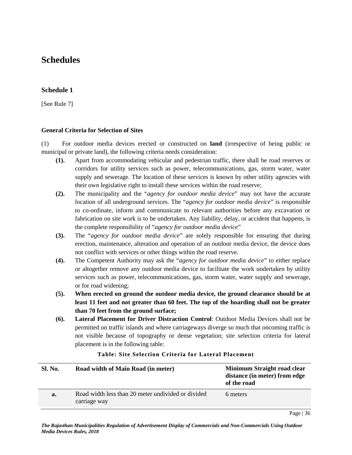## **Schedules**

## **Schedule 1**

[See Rule 7]

#### **General Criteria for Selection of Sites**

(1) For outdoor media devices erected or constructed on **land** (irrespective of being public or municipal or private land), the following criteria needs consideration:

- **(1).** Apart from accommodating vehicular and pedestrian traffic, there shall be road reserves or corridors for utility services such as power, telecommunications, gas, storm water, water supply and sewerage. The location of these services is known by other utility agencies with their own legislative right to install these services within the road reserve;
- **(2).** The municipality and the "*agency for outdoor media device*" may not have the accurate location of all underground services. The "*agency for outdoor media device*" is responsible to co-ordinate, inform and communicate to relevant authorities before any excavation or fabrication on site work is to be undertaken. Any liability, delay, or accident that happens, is the complete responsibility of "*agency for outdoor media device*"
- **(3).** The "*agency for outdoor media device*" are solely responsible for ensuring that during erection, maintenance, alteration and operation of an outdoor media device, the device does not conflict with services or other things within the road reserve.
- **(4).** The Competent Authority may ask the "*agency for outdoor media device*" to either replace or altogether remove any outdoor media device to facilitate the work undertaken by utility services such as power, telecommunications, gas, storm water, water supply and sewerage, or for road widening;
- **(5). When erected on ground the outdoor media device, the ground clearance should be at least 11 feet and not greater than 60 feet. The top of the hoarding shall not be greater than 70 feet from the ground surface;**
- **(6). Lateral Placement for Driver Distraction Control**: Outdoor Media Devices shall not be permitted on traffic islands and where carriageways diverge so much that oncoming traffic is not visible because of topography or dense vegetation; site selection criteria for lateral placement is in the following table:

| Sl. No. | Road width of Main Road (in meter)                                 | Minimum Straight road clear<br>distance (in meter) from edge<br>of the road |
|---------|--------------------------------------------------------------------|-----------------------------------------------------------------------------|
| a.      | Road width less than 20 meter undivided or divided<br>carriage way | 6 meters                                                                    |
|         |                                                                    |                                                                             |

#### **Table : Site Se le ction Crite ria for Lateral Plac ement**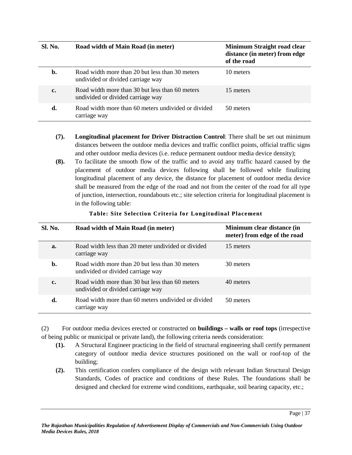| Sl. No. | Road width of Main Road (in meter)                                                   | Minimum Straight road clear<br>distance (in meter) from edge<br>of the road |
|---------|--------------------------------------------------------------------------------------|-----------------------------------------------------------------------------|
| b.      | Road width more than 20 but less than 30 meters<br>undivided or divided carriage way | 10 meters                                                                   |
| c.      | Road width more than 30 but less than 60 meters<br>undivided or divided carriage way | 15 meters                                                                   |
| d.      | Road width more than 60 meters undivided or divided<br>carriage way                  | 50 meters                                                                   |

- **(7). Longitudinal placement for Driver Distraction Control**: There shall be set out minimum distances between the outdoor media devices and traffic conflict points, official traffic signs and other outdoor media devices (i.e. reduce permanent outdoor media device density);
- **(8).** To facilitate the smooth flow of the traffic and to avoid any traffic hazard caused by the placement of outdoor media devices following shall be followed while finalizing longitudinal placement of any device, the distance for placement of outdoor media device shall be measured from the edge of the road and not from the center of the road for all type of junction, intersection, roundabouts etc.; site selection criteria for longitudinal placement is in the following table:

| Sl. No. | Road width of Main Road (in meter)                                                   | Minimum clear distance (in<br>meter) from edge of the road |
|---------|--------------------------------------------------------------------------------------|------------------------------------------------------------|
| a.      | Road width less than 20 meter undivided or divided<br>carriage way                   | 15 meters                                                  |
| b.      | Road width more than 20 but less than 30 meters<br>undivided or divided carriage way | 30 meters                                                  |
| c.      | Road width more than 30 but less than 60 meters<br>undivided or divided carriage way | 40 meters                                                  |
| d.      | Road width more than 60 meters undivided or divided<br>carriage way                  | 50 meters                                                  |

### **Table : Site Se le ction Crite ria for Longitudinal Placement**

(2) For outdoor media devices erected or constructed on **buildings – walls or roof tops** (irrespective of being public or municipal or private land), the following criteria needs consideration:

- **(1).** A Structural Engineer practicing in the field of structural engineering shall certify permanent category of outdoor media device structures positioned on the wall or roof-top of the building;
- **(2).** This certification confers compliance of the design with relevant Indian Structural Design Standards, Codes of practice and conditions of these Rules. The foundations shall be designed and checked for extreme wind conditions, earthquake, soil bearing capacity, etc.;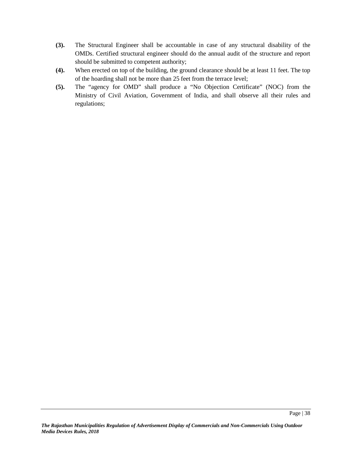- **(3).** The Structural Engineer shall be accountable in case of any structural disability of the OMDs. Certified structural engineer should do the annual audit of the structure and report should be submitted to competent authority;
- **(4).** When erected on top of the building, the ground clearance should be at least 11 feet. The top of the hoarding shall not be more than 25 feet from the terrace level;
- **(5).** The "agency for OMD" shall produce a "No Objection Certificate" (NOC) from the Ministry of Civil Aviation, Government of India, and shall observe all their rules and regulations;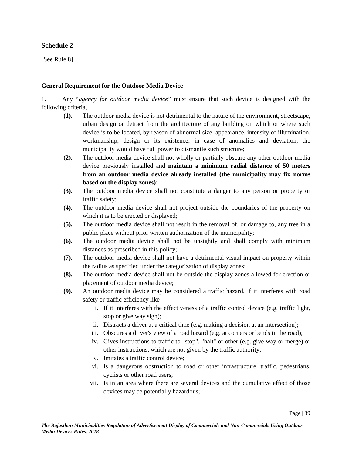## **Schedule 2**

[See Rule 8]

#### **General Requirement for the Outdoor Media Device**

1. Any "*agency for outdoor media device*" must ensure that such device is designed with the following criteria,

- **(1).** The outdoor media device is not detrimental to the nature of the environment, streetscape, urban design or detract from the architecture of any building on which or where such device is to be located, by reason of abnormal size, appearance, intensity of illumination, workmanship, design or its existence; in case of anomalies and deviation, the municipality would have full power to dismantle such structure;
- **(2).** The outdoor media device shall not wholly or partially obscure any other outdoor media device previously installed and **maintain a minimum radial distance of 50 meters from an outdoor media device already installed (the municipality may fix norms based on the display zones)**;
- **(3).** The outdoor media device shall not constitute a danger to any person or property or traffic safety;
- **(4).** The outdoor media device shall not project outside the boundaries of the property on which it is to be erected or displayed;
- **(5).** The outdoor media device shall not result in the removal of, or damage to, any tree in a public place without prior written authorization of the municipality;
- **(6).** The outdoor media device shall not be unsightly and shall comply with minimum distances as prescribed in this policy;
- **(7).** The outdoor media device shall not have a detrimental visual impact on property within the radius as specified under the categorization of display zones;
- **(8).** The outdoor media device shall not be outside the display zones allowed for erection or placement of outdoor media device;
- **(9).** An outdoor media device may be considered a traffic hazard, if it interferes with road safety or traffic efficiency like
	- i. If it interferes with the effectiveness of a traffic control device (e.g. traffic light, stop or give way sign);
	- ii. Distracts a driver at a critical time (e.g. making a decision at an intersection);
	- iii. Obscures a driver's view of a road hazard (e.g. at corners or bends in the road);
	- iv. Gives instructions to traffic to "stop", "halt" or other (e.g. give way or merge) or other instructions, which are not given by the traffic authority;
	- v. Imitates a traffic control device;
	- vi. Is a dangerous obstruction to road or other infrastructure, traffic, pedestrians, cyclists or other road users;
	- vii. Is in an area where there are several devices and the cumulative effect of those devices may be potentially hazardous;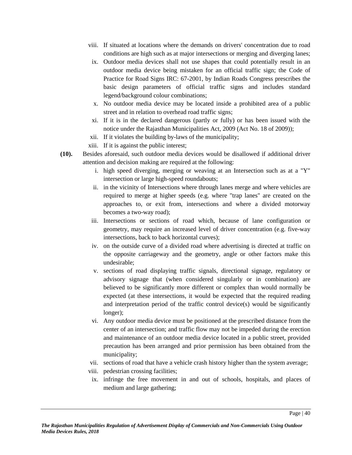- viii. If situated at locations where the demands on drivers' concentration due to road conditions are high such as at major intersections or merging and diverging lanes;
- ix. Outdoor media devices shall not use shapes that could potentially result in an outdoor media device being mistaken for an official traffic sign; the Code of Practice for Road Signs IRC: 67-2001, by Indian Roads Congress prescribes the basic design parameters of official traffic signs and includes standard legend/background colour combinations;
- x. No outdoor media device may be located inside a prohibited area of a public street and in relation to overhead road traffic signs;
- xi. If it is in the declared dangerous (partly or fully) or has been issued with the notice under the Rajasthan Municipalities Act, 2009 (Act No. 18 of 2009));
- xii. If it violates the building by-laws of the municipality;
- xiii. If it is against the public interest;
- **(10).** Besides aforesaid, such outdoor media devices would be disallowed if additional driver attention and decision making are required at the following:
	- i. high speed diverging, merging or weaving at an Intersection such as at a "Y" intersection or large high-speed roundabouts;
	- ii. in the vicinity of Intersections where through lanes merge and where vehicles are required to merge at higher speeds (e.g. where "trap lanes" are created on the approaches to, or exit from, intersections and where a divided motorway becomes a two-way road);
	- iii. Intersections or sections of road which, because of lane configuration or geometry, may require an increased level of driver concentration (e.g. five-way intersections, back to back horizontal curves);
	- iv. on the outside curve of a divided road where advertising is directed at traffic on the opposite carriageway and the geometry, angle or other factors make this undesirable;
	- v. sections of road displaying traffic signals, directional signage, regulatory or advisory signage that (when considered singularly or in combination) are believed to be significantly more different or complex than would normally be expected (at these intersections, it would be expected that the required reading and interpretation period of the traffic control device(s) would be significantly longer);
	- vi. Any outdoor media device must be positioned at the prescribed distance from the center of an intersection; and traffic flow may not be impeded during the erection and maintenance of an outdoor media device located in a public street, provided precaution has been arranged and prior permission has been obtained from the municipality;
	- vii. sections of road that have a vehicle crash history higher than the system average;
	- viii. pedestrian crossing facilities;
	- ix. infringe the free movement in and out of schools, hospitals, and places of medium and large gathering;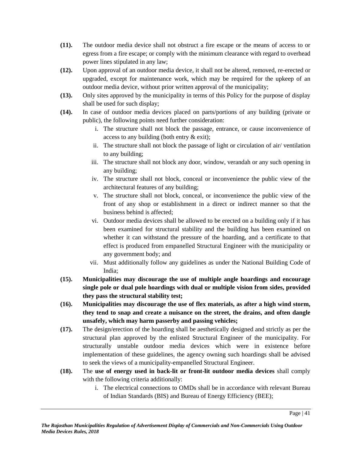- **(11).** The outdoor media device shall not obstruct a fire escape or the means of access to or egress from a fire escape; or comply with the minimum clearance with regard to overhead power lines stipulated in any law;
- **(12).** Upon approval of an outdoor media device, it shall not be altered, removed, re-erected or upgraded, except for maintenance work, which may be required for the upkeep of an outdoor media device, without prior written approval of the municipality;
- **(13).** Only sites approved by the municipality in terms of this Policy for the purpose of display shall be used for such display;
- **(14).** In case of outdoor media devices placed on parts/portions of any building (private or public), the following points need further consideration:
	- i. The structure shall not block the passage, entrance, or cause inconvenience of access to any building (both entry & exit);
	- ii. The structure shall not block the passage of light or circulation of air/ ventilation to any building;
	- iii. The structure shall not block any door, window, verandah or any such opening in any building;
	- iv. The structure shall not block, conceal or inconvenience the public view of the architectural features of any building;
	- v. The structure shall not block, conceal, or inconvenience the public view of the front of any shop or establishment in a direct or indirect manner so that the business behind is affected;
	- vi. Outdoor media devices shall be allowed to be erected on a building only if it has been examined for structural stability and the building has been examined on whether it can withstand the pressure of the hoarding, and a certificate to that effect is produced from empanelled Structural Engineer with the municipality or any government body; and
	- vii. Must additionally follow any guidelines as under the National Building Code of India;
- **(15). Municipalities may discourage the use of multiple angle hoardings and encourage single pole or dual pole hoardings with dual or multiple vision from sides, provided they pass the structural stability test;**
- **(16). Municipalities may discourage the use of flex materials, as after a high wind storm, they tend to snap and create a nuisance on the street, the drains, and often dangle unsafely, which may harm passerby and passing vehicles;**
- **(17).** The design/erection of the hoarding shall be aesthetically designed and strictly as per the structural plan approved by the enlisted Structural Engineer of the municipality. For structurally unstable outdoor media devices which were in existence before implementation of these guidelines, the agency owning such hoardings shall be advised to seek the views of a municipality-empanelled Structural Engineer.
- **(18).** The **use of energy used in back-lit or front-lit outdoor media devices** shall comply with the following criteria additionally:
	- i. The electrical connections to OMDs shall be in accordance with relevant Bureau of Indian Standards (BIS) and Bureau of Energy Efficiency (BEE);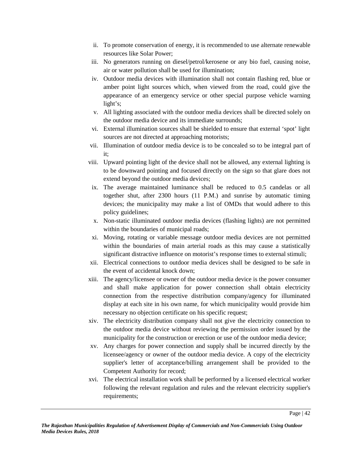- ii. To promote conservation of energy, it is recommended to use alternate renewable resources like Solar Power;
- iii. No generators running on diesel/petrol/kerosene or any bio fuel, causing noise, air or water pollution shall be used for illumination;
- iv. Outdoor media devices with illumination shall not contain flashing red, blue or amber point light sources which, when viewed from the road, could give the appearance of an emergency service or other special purpose vehicle warning light's;
- v. All lighting associated with the outdoor media devices shall be directed solely on the outdoor media device and its immediate surrounds;
- vi. External illumination sources shall be shielded to ensure that external 'spot' light sources are not directed at approaching motorists;
- vii. Illumination of outdoor media device is to be concealed so to be integral part of it;
- viii. Upward pointing light of the device shall not be allowed, any external lighting is to be downward pointing and focused directly on the sign so that glare does not extend beyond the outdoor media devices;
- ix. The average maintained luminance shall be reduced to 0.5 candelas or all together shut, after 2300 hours (11 P.M.) and sunrise by automatic timing devices; the municipality may make a list of OMDs that would adhere to this policy guidelines;
- x. Non-static illuminated outdoor media devices (flashing lights) are not permitted within the boundaries of municipal roads;
- xi. Moving, rotating or variable message outdoor media devices are not permitted within the boundaries of main arterial roads as this may cause a statistically significant distractive influence on motorist's response times to external stimuli;
- xii. Electrical connections to outdoor media devices shall be designed to be safe in the event of accidental knock down;
- xiii. The agency/licensee or owner of the outdoor media device is the power consumer and shall make application for power connection shall obtain electricity connection from the respective distribution company/agency for illuminated display at each site in his own name, for which municipality would provide him necessary no objection certificate on his specific request;
- xiv. The electricity distribution company shall not give the electricity connection to the outdoor media device without reviewing the permission order issued by the municipality for the construction or erection or use of the outdoor media device;
- xv. Any charges for power connection and supply shall be incurred directly by the licensee/agency or owner of the outdoor media device. A copy of the electricity supplier's letter of acceptance/billing arrangement shall be provided to the Competent Authority for record;
- xvi. The electrical installation work shall be performed by a licensed electrical worker following the relevant regulation and rules and the relevant electricity supplier's requirements;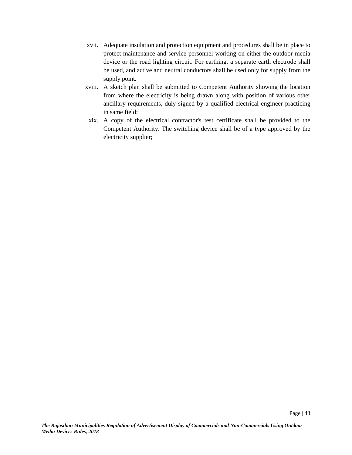- xvii. Adequate insulation and protection equipment and procedures shall be in place to protect maintenance and service personnel working on either the outdoor media device or the road lighting circuit. For earthing, a separate earth electrode shall be used, and active and neutral conductors shall be used only for supply from the supply point.
- xviii. A sketch plan shall be submitted to Competent Authority showing the location from where the electricity is being drawn along with position of various other ancillary requirements, duly signed by a qualified electrical engineer practicing in same field;
- xix. A copy of the electrical contractor's test certificate shall be provided to the Competent Authority. The switching device shall be of a type approved by the electricity supplier;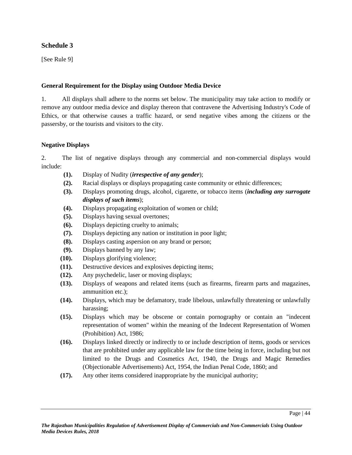## **Schedule 3**

[See Rule 9]

### **General Requirement for the Display using Outdoor Media Device**

1. All displays shall adhere to the norms set below. The municipality may take action to modify or remove any outdoor media device and display thereon that contravene the Advertising Industry's Code of Ethics, or that otherwise causes a traffic hazard, or send negative vibes among the citizens or the passersby, or the tourists and visitors to the city.

#### **Negative Displays**

2. The list of negative displays through any commercial and non-commercial displays would include:

- **(1).** Display of Nudity (*irrespective of any gender*);
- **(2).** Racial displays or displays propagating caste community or ethnic differences;
- **(3).** Displays promoting drugs, alcohol, cigarette, or tobacco items (*including any surrogate displays of such items*);
- **(4).** Displays propagating exploitation of women or child;
- **(5).** Displays having sexual overtones;
- **(6).** Displays depicting cruelty to animals;
- **(7).** Displays depicting any nation or institution in poor light;
- **(8).** Displays casting aspersion on any brand or person;
- **(9).** Displays banned by any law;
- **(10).** Displays glorifying violence;
- **(11).** Destructive devices and explosives depicting items;
- **(12).** Any psychedelic, laser or moving displays;
- **(13).** Displays of weapons and related items (such as firearms, firearm parts and magazines, ammunition etc.);
- **(14).** Displays, which may be defamatory, trade libelous, unlawfully threatening or unlawfully harassing;
- **(15).** Displays which may be obscene or contain pornography or contain an "indecent representation of women" within the meaning of the Indecent Representation of Women (Prohibition) Act, 1986;
- **(16).** Displays linked directly or indirectly to or include description of items, goods or services that are prohibited under any applicable law for the time being in force, including but not limited to the Drugs and Cosmetics Act, 1940, the Drugs and Magic Remedies (Objectionable Advertisements) Act, 1954, the Indian Penal Code, 1860; and
- **(17).** Any other items considered inappropriate by the municipal authority;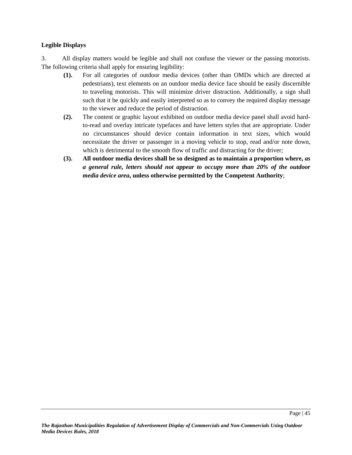#### **Legible Displays**

3. All display matters would be legible and shall not confuse the viewer or the passing motorists. The following criteria shall apply for ensuring legibility:

- **(1).** For all categories of outdoor media devices (other than OMDs which are directed at pedestrians), text elements on an outdoor media device face should be easily discernible to traveling motorists. This will minimize driver distraction. Additionally, a sign shall such that it be quickly and easily interpreted so as to convey the required display message to the viewer and reduce the period of distraction.
- **(2).** The content or graphic layout exhibited on outdoor media device panel shall avoid hardto-read and overlay intricate typefaces and have letters styles that are appropriate. Under no circumstances should device contain information in text sizes, which would necessitate the driver or passenger in a moving vehicle to stop, read and/or note down, which is detrimental to the smooth flow of traffic and distracting for the driver;
- **(3). All outdoor media devices shall be so designed as to maintain a proportion where,** *as a general rule, letters should not appear to occupy more than 20% of the outdoor media device area***, unless otherwise permitted by the Competent Authority**;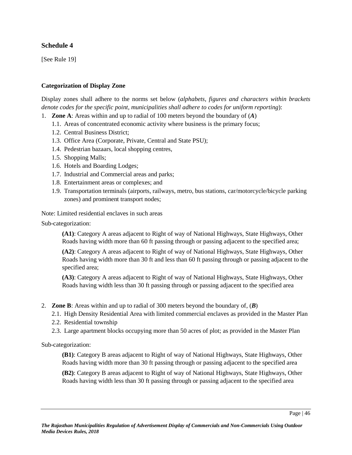## **Schedule 4**

[See Rule 19]

#### **Categorization of Display Zone**

Display zones shall adhere to the norms set below (*alphabets*, *figures and characters within brackets denote codes for the specific point, municipalities shall adhere to codes for uniform reporting*):

- 1. **Zone A**: Areas within and up to radial of 100 meters beyond the boundary of (*A*)
	- 1.1. Areas of concentrated economic activity where business is the primary focus;
	- 1.2. Central Business District;
	- 1.3. Office Area (Corporate, Private, Central and State PSU);
	- 1.4. Pedestrian bazaars, local shopping centres,
	- 1.5. Shopping Malls;
	- 1.6. Hotels and Boarding Lodges;
	- 1.7. Industrial and Commercial areas and parks;
	- 1.8. Entertainment areas or complexes; and
	- 1.9. Transportation terminals (airports, railways, metro, bus stations, car/motorcycle/bicycle parking zones) and prominent transport nodes;

Note: Limited residential enclaves in such areas

Sub-categorization:

**(A1)**: Category A areas adjacent to Right of way of National Highways, State Highways, Other Roads having width more than 60 ft passing through or passing adjacent to the specified area;

**(A2)**: Category A areas adjacent to Right of way of National Highways, State Highways, Other Roads having width more than 30 ft and less than 60 ft passing through or passing adjacent to the specified area;

**(A3)**: Category A areas adjacent to Right of way of National Highways, State Highways, Other Roads having width less than 30 ft passing through or passing adjacent to the specified area

- 2. **Zone B**: Areas within and up to radial of 300 meters beyond the boundary of, (*B*)
	- 2.1. High Density Residential Area with limited commercial enclaves as provided in the Master Plan
	- 2.2. Residential township
	- 2.3. Large apartment blocks occupying more than 50 acres of plot; as provided in the Master Plan

Sub-categorization:

**(B1)**: Category B areas adjacent to Right of way of National Highways, State Highways, Other Roads having width more than 30 ft passing through or passing adjacent to the specified area

**(B2)**: Category B areas adjacent to Right of way of National Highways, State Highways, Other Roads having width less than 30 ft passing through or passing adjacent to the specified area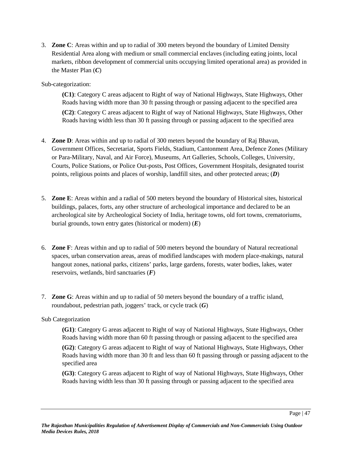3. **Zone C**: Areas within and up to radial of 300 meters beyond the boundary of Limited Density Residential Area along with medium or small commercial enclaves (including eating joints, local markets, ribbon development of commercial units occupying limited operational area) as provided in the Master Plan (*C*)

#### Sub-categorization:

**(C1)**: Category C areas adjacent to Right of way of National Highways, State Highways, Other Roads having width more than 30 ft passing through or passing adjacent to the specified area

**(C2)**: Category C areas adjacent to Right of way of National Highways, State Highways, Other Roads having width less than 30 ft passing through or passing adjacent to the specified area

- 4. **Zone D**: Areas within and up to radial of 300 meters beyond the boundary of Raj Bhavan, Government Offices, Secretariat, Sports Fields, Stadium, Cantonment Area, Defence Zones (Military or Para-Military, Naval, and Air Force), Museums, Art Galleries, Schools, Colleges, University, Courts, Police Stations, or Police Out-posts, Post Offices, Government Hospitals, designated tourist points, religious points and places of worship, landfill sites, and other protected areas; (*D*)
- 5. **Zone E**: Areas within and a radial of 500 meters beyond the boundary of Historical sites, historical buildings, palaces, forts, any other structure of archeological importance and declared to be an archeological site by Archeological Society of India, heritage towns, old fort towns, crematoriums, burial grounds, town entry gates (historical or modern) (*E*)
- 6. **Zone F**: Areas within and up to radial of 500 meters beyond the boundary of Natural recreational spaces, urban conservation areas, areas of modified landscapes with modern place-makings, natural hangout zones, national parks, citizens' parks, large gardens, forests, water bodies, lakes, water reservoirs, wetlands, bird sanctuaries (*F*)
- 7. **Zone G**: Areas within and up to radial of 50 meters beyond the boundary of a traffic island, roundabout, pedestrian path, joggers' track, or cycle track (*G*)

#### Sub Categorization

**(G1)**: Category G areas adjacent to Right of way of National Highways, State Highways, Other Roads having width more than 60 ft passing through or passing adjacent to the specified area

**(G2)**: Category G areas adjacent to Right of way of National Highways, State Highways, Other Roads having width more than 30 ft and less than 60 ft passing through or passing adjacent to the specified area

**(G3)**: Category G areas adjacent to Right of way of National Highways, State Highways, Other Roads having width less than 30 ft passing through or passing adjacent to the specified area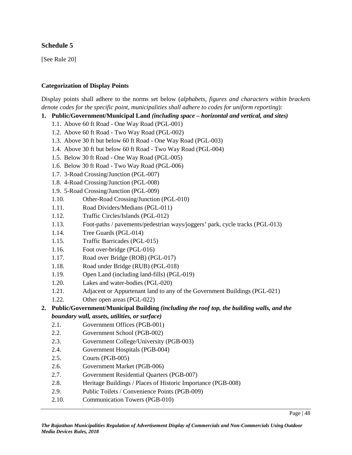## **Schedule 5**

[See Rule 20]

#### **Categorization of Display Points**

Display points shall adhere to the norms set below (*alphabets*, *figures and characters within brackets denote codes for the specific point, municipalities shall adhere to codes for uniform reporting*):

- **1. Public/Government/Municipal Land** *(including space – horizontal and vertical, and sites)*
	- 1.1. Above 60 ft Road One Way Road (PGL-001)
	- 1.2. Above 60 ft Road Two Way Road (PGL-002)
	- 1.3. Above 30 ft but below 60 ft Road One Way Road (PGL-003)
	- 1.4. Above 30 ft but below 60 ft Road Two Way Road (PGL-004)
	- 1.5. Below 30 ft Road One Way Road (PGL-005)
	- 1.6. Below 30 ft Road Two Way Road (PGL-006)
	- 1.7. 3-Road Crossing/Junction (PGL-007)
	- 1.8. 4-Road Crossing/Junction (PGL-008)
	- 1.9. 5-Road Crossing/Junction (PGL-009)
	- 1.10. Other-Road Crossing/Junction (PGL-010)
	- 1.11. Road Dividers/Medians (PGL-011)
	- 1.12. Traffic Circles/Islands (PGL-012)
	- 1.13. Foot-paths / pavements/pedestrian ways/joggers' park, cycle tracks (PGL-013)
	- 1.14. Tree Guards (PGL-014)
	- 1.15. Traffic Barricades (PGL-015)
	- 1.16. Foot over-bridge (PGL-016)
	- 1.17. Road over Bridge (ROB) (PGL-017)
	- 1.18. Road under Bridge (RUB) (PGL-018)
	- 1.19. Open Land (including land-fills) (PGL-019)
	- 1.20. Lakes and water-bodies (PGL-020)
	- 1.21. Adjacent or Appurtenant land to any of the Government Buildings (PGL-021)
	- 1.22. Other open areas (PGL-022)
- **2. Public/Government/Municipal Building** *(including the roof top, the building walls, and the boundary wall, assets, utilities, or surface)*
	- 2.1. Government Offices (PGB-001)
	- 2.2. Government School (PGB-002)
	- 2.3. Government College/University (PGB-003)
	- 2.4. Government Hospitals (PGB-004)
	- 2.5. Courts (PGB-005)
	- 2.6. Government Market (PGB-006)
	- 2.7. Government Residential Quarters (PGB-007)
	- 2.8. Heritage Buildings / Places of Historic Importance (PGB-008)
	- 2.9. Public Toilets / Convenience Points (PGB-009)
	- 2.10. Communication Towers (PGB-010)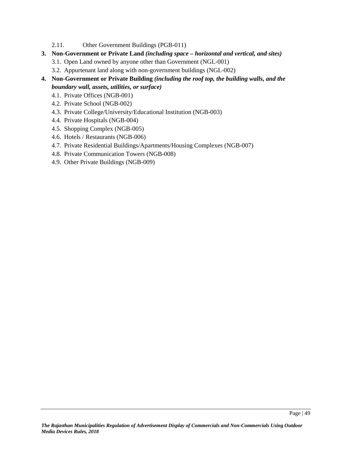- 2.11. Other Government Buildings (PGB-011)
- **3. Non-Government or Private Land** *(including space – horizontal and vertical, and sites)*
	- 3.1. Open Land owned by anyone other than Government (NGL-001)
	- 3.2. Appurtenant land along with non-government buildings (NGL-002)
- **4. Non-Government or Private Building** *(including the roof top, the building walls, and the boundary wall, assets, utilities, or surface)*
	- 4.1. Private Offices (NGB-001)
	- 4.2. Private School (NGB-002)
	- 4.3. Private College/University/Educational Institution (NGB-003)
	- 4.4. Private Hospitals (NGB-004)
	- 4.5. Shopping Complex (NGB-005)
	- 4.6. Hotels / Restaurants (NGB-006)
	- 4.7. Private Residential Buildings/Apartments/Housing Complexes (NGB-007)
	- 4.8. Private Communication Towers (NGB-008)
	- 4.9. Other Private Buildings (NGB-009)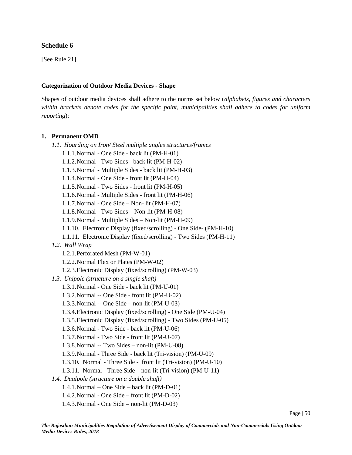### **Schedule 6**

[See Rule 21]

#### **Categorization of Outdoor Media Devices - Shape**

Shapes of outdoor media devices shall adhere to the norms set below (*alphabets*, *figures and characters within brackets denote codes for the specific point, municipalities shall adhere to codes for uniform reporting*):

#### **1. Permanent OMD**

*1.1. Hoarding on Iron/ Steel multiple angles structures/frames*

- 1.1.1.Normal One Side back lit (PM-H-01)
- 1.1.2.Normal Two Sides back lit (PM-H-02)
- 1.1.3.Normal Multiple Sides back lit (PM-H-03)
- 1.1.4.Normal One Side front lit (PM-H-04)
- 1.1.5.Normal Two Sides front lit (PM-H-05)
- 1.1.6.Normal Multiple Sides front lit (PM-H-06)
- 1.1.7.Normal One Side Non- lit (PM-H-07)
- 1.1.8.Normal Two Sides Non-lit (PM-H-08)
- 1.1.9.Normal Multiple Sides Non-lit (PM-H-09)
- 1.1.10. Electronic Display (fixed/scrolling) One Side- (PM-H-10)
- 1.1.11. Electronic Display (fixed/scrolling) Two Sides (PM-H-11)
- *1.2. Wall Wrap*
	- 1.2.1.Perforated Mesh (PM-W-01)
	- 1.2.2.Normal Flex or Plates (PM-W-02)
	- 1.2.3.Electronic Display (fixed/scrolling) (PM-W-03)
- *1.3. Unipole (structure on a single shaft)*
	- 1.3.1.Normal One Side back lit (PM-U-01)
	- 1.3.2.Normal -- One Side front lit (PM-U-02)
	- 1.3.3.Normal -- One Side non-lit (PM-U-03)
	- 1.3.4.Electronic Display (fixed/scrolling) One Side (PM-U-04)
	- 1.3.5.Electronic Display (fixed/scrolling) Two Sides (PM-U-05)
	- 1.3.6.Normal Two Side back lit (PM-U-06)
	- 1.3.7.Normal Two Side front lit (PM-U-07)
	- 1.3.8.Normal -- Two Sides non-lit (PM-U-08)
	- 1.3.9.Normal Three Side back lit (Tri-vision) (PM-U-09)
	- 1.3.10. Normal Three Side front lit (Tri-vision) (PM-U-10)
	- 1.3.11. Normal Three Side non-lit (Tri-vision) (PM-U-11)
- *1.4. Dualpole (structure on a double shaft)*
	- 1.4.1.Normal One Side back lit (PM-D-01)
	- 1.4.2.Normal One Side front lit (PM-D-02)
	- 1.4.3.Normal One Side non-lit (PM-D-03)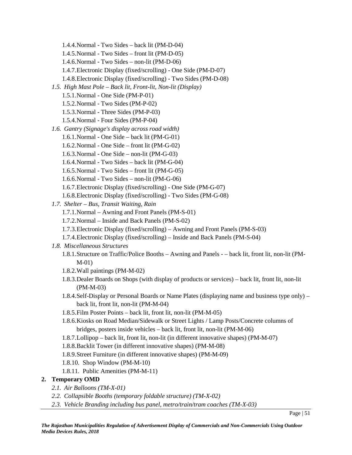- 1.4.4.Normal Two Sides back lit (PM-D-04)
- 1.4.5.Normal Two Sides front lit (PM-D-05)
- 1.4.6.Normal Two Sides non-lit (PM-D-06)
- 1.4.7.Electronic Display (fixed/scrolling) One Side (PM-D-07)
- 1.4.8.Electronic Display (fixed/scrolling) Two Sides (PM-D-08)
- *1.5. High Mast Pole – Back lit, Front-lit, Non-lit (Display)*
	- 1.5.1.Normal One Side (PM-P-01)
	- 1.5.2.Normal Two Sides (PM-P-02)
	- 1.5.3.Normal Three Sides (PM-P-03)
	- 1.5.4.Normal Four Sides (PM-P-04)
- *1.6. Gantry (Signage's display across road width)*
	- 1.6.1.Normal One Side back lit (PM-G-01)
	- 1.6.2.Normal One Side front lit (PM-G-02)
	- 1.6.3.Normal One Side non-lit (PM-G-03)
	- 1.6.4.Normal Two Sides back lit (PM-G-04)
	- 1.6.5.Normal Two Sides front lit (PM-G-05)
	- 1.6.6.Normal Two Sides non-lit (PM-G-06)
	- 1.6.7.Electronic Display (fixed/scrolling) One Side (PM-G-07)
	- 1.6.8.Electronic Display (fixed/scrolling) Two Sides (PM-G-08)
- *1.7. Shelter – Bus, Transit Waiting, Rain*
	- 1.7.1.Normal Awning and Front Panels (PM-S-01)
	- 1.7.2.Normal Inside and Back Panels (PM-S-02)
	- 1.7.3.Electronic Display (fixed/scrolling) Awning and Front Panels (PM-S-03)
	- 1.7.4.Electronic Display (fixed/scrolling) Inside and Back Panels (PM-S-04)

#### *1.8. Miscellaneous Structures*

- 1.8.1.Structure on Traffic/Police Booths Awning and Panels – back lit, front lit, non-lit (PM- M-01)
- 1.8.2.Wall paintings (PM-M-02)
- 1.8.3.Dealer Boards on Shops (with display of products or services) back lit, front lit, non-lit (PM-M-03)
- 1.8.4.Self-Display or Personal Boards or Name Plates (displaying name and business type only) back lit, front lit, non-lit (PM-M-04)
- 1.8.5.Film Poster Points back lit, front lit, non-lit (PM-M-05)
- 1.8.6.Kiosks on Road Median/Sidewalk or Street Lights / Lamp Posts/Concrete columns of bridges, posters inside vehicles – back lit, front lit, non-lit (PM-M-06)
- 1.8.7.Lollipop back lit, front lit, non-lit (in different innovative shapes) (PM-M-07)
- 1.8.8.Backlit Tower (in different innovative shapes) (PM-M-08)
- 1.8.9.Street Furniture (in different innovative shapes) (PM-M-09)
- 1.8.10. Shop Window (PM-M-10)
- 1.8.11. Public Amenities (PM-M-11)

#### **2. Temporary OMD**

- *2.1. Air Balloons (TM-X-01)*
- *2.2. Collapsible Booths (temporary foldable structure) (TM-X-02)*
- *2.3. Vehicle Branding including bus panel, metro/train/tram coaches (TM-X-03)*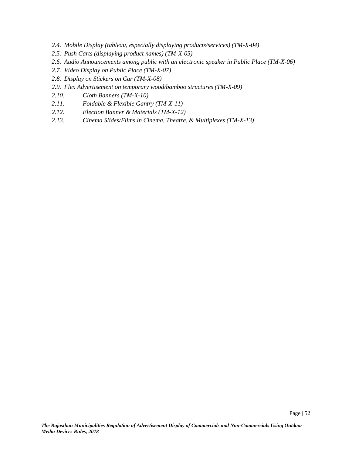- *2.4. Mobile Display (tableau, especially displaying products/services) (TM-X-04)*
- *2.5. Push Carts (displaying product names) (TM-X-05)*
- *2.6. Audio Announcements among public with an electronic speaker in Public Place (TM-X-06)*
- *2.7. Video Display on Public Place (TM-X-07)*
- *2.8. Display on Stickers on Car (TM-X-08)*
- *2.9. Flex Advertisement on temporary wood/bamboo structures (TM-X-09)*
- *2.10. Cloth Banners (TM-X-10)*
- *2.11. Foldable & Flexible Gantry (TM-X-11)*
- *2.12. Election Banner & Materials (TM-X-12)*
- *2.13. Cinema Slides/Films in Cinema, Theatre, & Multiplexes (TM-X-13)*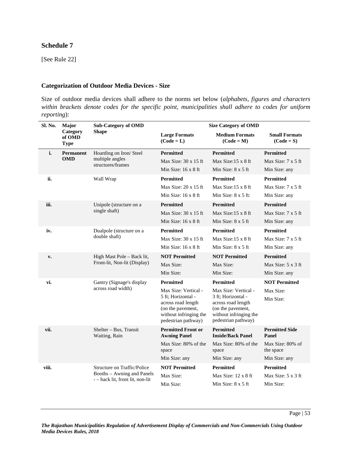## **Schedule 7**

[See Rule 22]

#### **Categorization of Outdoor Media Devices - Size**

Size of outdoor media devices shall adhere to the norms set below (*alphabets*, *figures and characters within brackets denote codes for the specific point, municipalities shall adhere to codes for uniform reporting*):

| Sl. No. | Major                             | <b>Sub-Category of OMD</b>                                     | <b>Size Category of OMD</b>                                                                                    |                                                                                                                |                                      |  |
|---------|-----------------------------------|----------------------------------------------------------------|----------------------------------------------------------------------------------------------------------------|----------------------------------------------------------------------------------------------------------------|--------------------------------------|--|
|         | Category<br>of OMD<br><b>Type</b> | <b>Shape</b>                                                   | <b>Large Formats</b><br>$(Code = L)$                                                                           | <b>Medium Formats</b><br>$(Code = M)$                                                                          | <b>Small Formats</b><br>$(Code = S)$ |  |
| i.      | Permanent                         | Hoarding on Iron/ Steel                                        | Permitted                                                                                                      | Permitted                                                                                                      | Permitted                            |  |
|         | <b>OMD</b>                        | multiple angles<br>structures/frames                           | Max Size: 30 x 15 ft                                                                                           | Max Size:15 x 8 ft                                                                                             | Max Size: 7 x 5 ft                   |  |
|         |                                   |                                                                | Min Size: $16 \times 8$ ft                                                                                     | Min Size: 8 x 5 ft                                                                                             | Min Size: any                        |  |
| ii.     |                                   | Wall Wrap                                                      | Permitted                                                                                                      | Permitted                                                                                                      | Permitted                            |  |
|         |                                   |                                                                | Max Size: $20 \times 15$ ft                                                                                    | Max Size: $15 \times 8$ ft                                                                                     | Max Size: 7 x 5 ft                   |  |
|         |                                   |                                                                | Min Size: 16 x 8 ft                                                                                            | Min Size: 8 x 5 ft:                                                                                            | Min Size: any                        |  |
| iii.    |                                   | Unipole (structure on a                                        | <b>Permitted</b>                                                                                               | <b>Permitted</b>                                                                                               | Permitted                            |  |
|         |                                   | single shaft)                                                  | Max Size: $30 \times 15$ ft                                                                                    | Max Size:15 x 8 ft                                                                                             | Max Size: 7 x 5 ft                   |  |
|         |                                   |                                                                | Min Size: 16 x 8 ft                                                                                            | Min Size: 8 x 5 ft                                                                                             | Min Size: any                        |  |
| iv.     |                                   | Dualpole (structure on a                                       | <b>Permitted</b>                                                                                               | <b>Permitted</b>                                                                                               | <b>Permitted</b>                     |  |
|         |                                   | double shaft)                                                  | Max Size: $30 \times 15$ ft                                                                                    | Max Size:15 x 8 ft                                                                                             | Max Size: 7 x 5 ft                   |  |
|         |                                   |                                                                | Min Size: $16 \times 8$ ft                                                                                     | Min Size: 8 x 5 ft                                                                                             | Min Size: any                        |  |
| v.      |                                   | High Mast Pole - Back lit,                                     | <b>NOT Permitted</b>                                                                                           | <b>NOT Permitted</b>                                                                                           | <b>Permitted</b>                     |  |
|         |                                   | Front-lit, Non-lit (Display)                                   | Max Size:                                                                                                      | Max Size:                                                                                                      | Max Size: 5 x 3 ft                   |  |
|         |                                   |                                                                | Min Size:                                                                                                      | Min Size:                                                                                                      | Min Size: any                        |  |
| vi.     |                                   | Gantry (Signage's display                                      | Permitted                                                                                                      | Permitted                                                                                                      | <b>NOT Permitted</b>                 |  |
|         |                                   | across road width)                                             | Max Size: Vertical -                                                                                           | Max Size: Vertical -                                                                                           | Max Size:                            |  |
|         |                                   |                                                                | 5 ft; Horizontal -<br>across road length<br>(on the pavement,<br>without infringing the<br>pedestrian pathway) | 3 ft; Horizontal -<br>across road length<br>(on the pavement,<br>without infringing the<br>pedestrian pathway) | Min Size:                            |  |
| vii.    |                                   | Shelter - Bus, Transit<br>Waiting, Rain                        | <b>Permitted Front or</b><br><b>Awning Panel</b>                                                               | <b>Permitted</b><br><b>Inside/Back Panel</b>                                                                   | <b>Permitted Side</b><br>Panel       |  |
|         |                                   |                                                                | Max Size: 80% of the<br>space                                                                                  | Max Size: 80% of the<br>space                                                                                  | Max Size: 80% of<br>the space        |  |
|         |                                   |                                                                | Min Size: any                                                                                                  | Min Size: any                                                                                                  | Min Size: any                        |  |
| viii.   |                                   | Structure on Traffic/Police                                    | <b>NOT Permitted</b>                                                                                           | <b>Permitted</b>                                                                                               | <b>Permitted</b>                     |  |
|         |                                   | Booths - Awning and Panels<br>- - back lit, front lit, non-lit | Max Size:                                                                                                      | Max Size: 12 x 8 ft                                                                                            | Max Size: 5 x 3 ft                   |  |
|         |                                   |                                                                | Min Size:                                                                                                      | Min Size: $8 \times 5$ ft                                                                                      | Min Size:                            |  |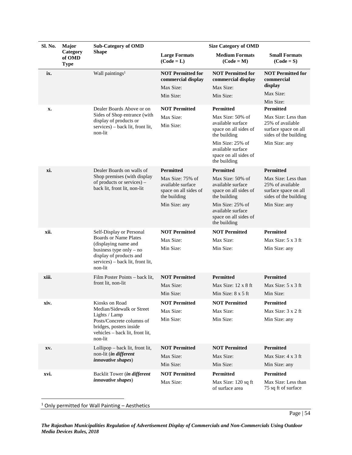| Sl. No. | Major                                                | <b>Sub-Category of OMD</b>                                                                                          | <b>Size Category of OMD</b>                                                    |                                                                                |                                                                                          |  |
|---------|------------------------------------------------------|---------------------------------------------------------------------------------------------------------------------|--------------------------------------------------------------------------------|--------------------------------------------------------------------------------|------------------------------------------------------------------------------------------|--|
|         | Category<br>of OMD<br><b>Type</b>                    | <b>Shape</b>                                                                                                        | <b>Large Formats</b><br>$(Code = L)$                                           | <b>Medium Formats</b><br>$(Code = M)$                                          | <b>Small Formats</b><br>$(Code = S)$                                                     |  |
| ix.     |                                                      | Wall paintings <sup>1</sup>                                                                                         | <b>NOT Permitted for</b><br>commercial display<br>Max Size:                    | <b>NOT Permitted for</b><br>commercial display<br>Max Size:                    | <b>NOT Permitted for</b><br>commercial<br>display                                        |  |
|         |                                                      |                                                                                                                     | Min Size:                                                                      | Min Size:                                                                      | Max Size:                                                                                |  |
|         |                                                      |                                                                                                                     |                                                                                |                                                                                | Min Size:                                                                                |  |
| x.      |                                                      | Dealer Boards Above or on                                                                                           | <b>NOT Permitted</b>                                                           | Permitted                                                                      | <b>Permitted</b>                                                                         |  |
|         |                                                      | Sides of Shop entrance (with<br>display of products or<br>services) – back lit, front lit,<br>non-lit               | Max Size:<br>Min Size:                                                         | Max Size: 50% of<br>available surface<br>space on all sides of<br>the building | Max Size: Less than<br>25% of available<br>surface space on all<br>sides of the building |  |
|         |                                                      |                                                                                                                     |                                                                                | Min Size: 25% of<br>available surface<br>space on all sides of<br>the building | Min Size: any                                                                            |  |
| xi.     |                                                      | Dealer Boards on walls of                                                                                           | <b>Permitted</b>                                                               | <b>Permitted</b>                                                               | <b>Permitted</b>                                                                         |  |
|         |                                                      | Shop premises (with display<br>of products or services) –<br>back lit, front lit, non-lit                           | Max Size: 75% of<br>available surface<br>space on all sides of<br>the building | Max Size: 50% of<br>available surface<br>space on all sides of<br>the building | Max Size: Less than<br>25% of available<br>surface space on all<br>sides of the building |  |
|         |                                                      |                                                                                                                     | Min Size: any                                                                  | Min Size: 25% of<br>available surface<br>space on all sides of<br>the building | Min Size: any                                                                            |  |
| xii.    |                                                      | Self-Display or Personal                                                                                            | <b>NOT Permitted</b>                                                           | <b>NOT Permitted</b>                                                           | <b>Permitted</b>                                                                         |  |
|         | <b>Boards or Name Plates</b><br>(displaying name and | Max Size:                                                                                                           | Max Size:                                                                      | Max Size: $5 \times 3$ ft                                                      |                                                                                          |  |
|         |                                                      | business type only $-$ no<br>display of products and<br>services) – back lit, front lit,<br>non-lit                 | Min Size:                                                                      | Min Size:                                                                      | Min Size: any                                                                            |  |
| xiii.   |                                                      | Film Poster Points - back lit,                                                                                      | <b>NOT Permitted</b>                                                           | <b>Permitted</b>                                                               | <b>Permitted</b>                                                                         |  |
|         |                                                      | front lit, non-lit                                                                                                  | Max Size:                                                                      | Max Size: $12 \times 8$ ft                                                     | Max Size: $5 \times 3$ ft                                                                |  |
|         |                                                      |                                                                                                                     | Min Size:                                                                      | Min Size: $8 \times 5$ ft                                                      | Min Size:                                                                                |  |
| xiv.    |                                                      | Kiosks on Road                                                                                                      | <b>NOT Permitted</b>                                                           | <b>NOT Permitted</b>                                                           | <b>Permitted</b>                                                                         |  |
|         |                                                      | Median/Sidewalk or Street                                                                                           | Max Size:                                                                      | Max Size:                                                                      | Max Size: 3 x 2 ft                                                                       |  |
|         |                                                      | Lights / Lamp<br>Posts/Concrete columns of<br>bridges, posters inside<br>vehicles - back lit, front lit,<br>non-lit | Min Size:                                                                      | Min Size:                                                                      | Min Size: any                                                                            |  |
| XV.     |                                                      | Lollipop – back lit, front lit,                                                                                     | <b>NOT Permitted</b>                                                           | <b>NOT Permitted</b>                                                           | <b>Permitted</b>                                                                         |  |
|         |                                                      | non-lit (in different<br><i>innovative shapes</i> )                                                                 | Max Size:                                                                      | Max Size:                                                                      | Max Size: $4 \times 3$ ft                                                                |  |
|         |                                                      |                                                                                                                     | Min Size:                                                                      | Min Size:                                                                      | Min Size: any                                                                            |  |
| xvi.    |                                                      | Backlit Tower (in different                                                                                         | <b>NOT Permitted</b>                                                           | <b>Permitted</b>                                                               | Permitted                                                                                |  |
|         |                                                      | <i>innovative shapes</i> )                                                                                          | Max Size:                                                                      | Max Size: 120 sq ft<br>of surface area                                         | Max Size: Less than<br>75 sq ft of surface                                               |  |

 $1$  Only permitted for Wall Painting  $-$  Aesthetics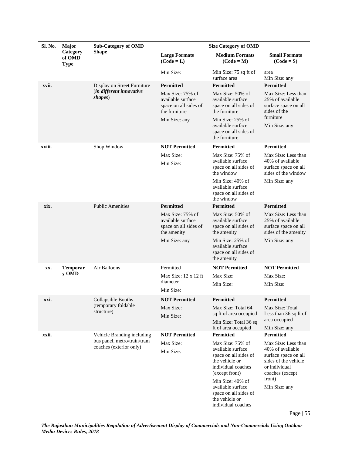| Sl. No. | Major<br>Category<br>of OMD<br><b>Type</b> | <b>Sub-Category of OMD</b><br><b>Shape</b>                | <b>Size Category of OMD</b>                                                     |                                                                                                                          |                                                                                                                             |
|---------|--------------------------------------------|-----------------------------------------------------------|---------------------------------------------------------------------------------|--------------------------------------------------------------------------------------------------------------------------|-----------------------------------------------------------------------------------------------------------------------------|
|         |                                            |                                                           | <b>Large Formats</b><br>$(Code = L)$                                            | <b>Medium Formats</b><br>$(Code = M)$                                                                                    | <b>Small Formats</b><br>$(Code = S)$                                                                                        |
|         |                                            |                                                           | Min Size:                                                                       | Min Size: 75 sq ft of<br>surface area                                                                                    | area<br>Min Size: any                                                                                                       |
| xvii.   |                                            | Display on Street Furniture                               | <b>Permitted</b>                                                                | <b>Permitted</b>                                                                                                         | <b>Permitted</b>                                                                                                            |
|         |                                            | (in different innovative<br>shapes)                       | Max Size: 75% of<br>available surface<br>space on all sides of<br>the furniture | Max Size: 50% of<br>available surface<br>space on all sides of<br>the furniture                                          | Max Size: Less than<br>25% of available<br>surface space on all<br>sides of the                                             |
|         |                                            |                                                           | Min Size: any                                                                   | Min Size: 25% of<br>available surface<br>space on all sides of<br>the furniture                                          | furniture<br>Min Size: any                                                                                                  |
| xviii.  |                                            | Shop Window                                               | <b>NOT Permitted</b>                                                            | <b>Permitted</b>                                                                                                         | Permitted                                                                                                                   |
|         |                                            |                                                           | Max Size:<br>Min Size:                                                          | Max Size: 75% of<br>available surface<br>space on all sides of<br>the window                                             | Max Size: Less than<br>40% of available<br>surface space on all<br>sides of the window                                      |
|         |                                            |                                                           |                                                                                 | Min Size: 40% of<br>available surface<br>space on all sides of<br>the window                                             | Min Size: any                                                                                                               |
| xix.    |                                            | <b>Public Amenities</b>                                   | Permitted                                                                       | Permitted                                                                                                                | Permitted                                                                                                                   |
|         |                                            |                                                           | Max Size: 75% of<br>available surface<br>space on all sides of<br>the amenity   | Max Size: 50% of<br>available surface<br>space on all sides of<br>the amenity                                            | Max Size: Less than<br>25% of available<br>surface space on all<br>sides of the amenity                                     |
|         |                                            |                                                           | Min Size: any                                                                   | Min Size: 25% of<br>available surface<br>space on all sides of<br>the amenity                                            | Min Size: any                                                                                                               |
| XX.     | <b>Temporar</b>                            | Air Balloons                                              | Permitted                                                                       | <b>NOT Permitted</b>                                                                                                     | <b>NOT Permitted</b>                                                                                                        |
|         | y OMD                                      |                                                           | Max Size: 12 x 12 ft                                                            | Max Size:                                                                                                                | Max Size:                                                                                                                   |
|         |                                            |                                                           | diameter<br>Min Size:                                                           | Min Size:                                                                                                                | Min Size:                                                                                                                   |
| xxi.    |                                            | Collapsible Booths                                        | <b>NOT Permitted</b>                                                            | Permitted                                                                                                                | Permitted                                                                                                                   |
|         |                                            | (temporary foldable<br>structure)                         | Max Size:<br>Min Size:                                                          | Max Size: Total 64<br>sq ft of area occupied<br>Min Size: Total 36 sq                                                    | Max Size: Total<br>Less than 36 sq ft of<br>area occupied                                                                   |
|         |                                            |                                                           |                                                                                 | ft of area occupied                                                                                                      | Min Size: any                                                                                                               |
| xxii.   |                                            | Vehicle Branding including<br>bus panel, metro/train/tram | <b>NOT Permitted</b>                                                            | <b>Permitted</b>                                                                                                         | <b>Permitted</b>                                                                                                            |
|         |                                            | coaches (exterior only)                                   | Max Size:<br>Min Size:                                                          | Max Size: 75% of<br>available surface<br>space on all sides of<br>the vehicle or<br>individual coaches<br>(except front) | Max Size: Less than<br>40% of available<br>surface space on all<br>sides of the vehicle<br>or individual<br>coaches (except |
|         |                                            |                                                           |                                                                                 | Min Size: 40% of<br>available surface<br>space on all sides of<br>the vehicle or<br>individual coaches                   | front)<br>Min Size: any                                                                                                     |

Page | 55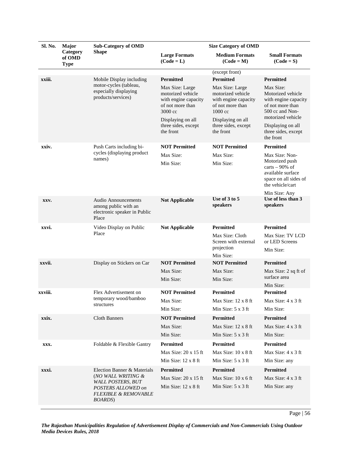| Sl. No.<br><b>Sub-Category of OMD</b><br>Major |                                   |                                                                                                                            | <b>Size Category of OMD</b>                                                                 |                                                                                                       |                                                                                                                        |
|------------------------------------------------|-----------------------------------|----------------------------------------------------------------------------------------------------------------------------|---------------------------------------------------------------------------------------------|-------------------------------------------------------------------------------------------------------|------------------------------------------------------------------------------------------------------------------------|
|                                                | Category<br>of OMD<br><b>Type</b> | <b>Shape</b>                                                                                                               | <b>Large Formats</b><br>$(Code = L)$                                                        | <b>Medium Formats</b><br>$(Code = M)$                                                                 | <b>Small Formats</b><br>$(Code = S)$                                                                                   |
|                                                |                                   |                                                                                                                            |                                                                                             | (except front)                                                                                        |                                                                                                                        |
| xxiii.                                         |                                   | Mobile Display including                                                                                                   | <b>Permitted</b>                                                                            | <b>Permitted</b>                                                                                      | <b>Permitted</b>                                                                                                       |
|                                                |                                   | motor-cycles (tableau,<br>especially displaying<br>products/services)                                                      | Max Size: Large<br>motorized vehicle<br>with engine capacity<br>of not more than<br>3000 cc | Max Size: Large<br>motorized vehicle<br>with engine capacity<br>of not more than<br>$1000 \text{ cc}$ | Max Size:<br>Motorized vehicle<br>with engine capacity<br>of not more than<br>500 cc and Non-<br>motorized vehicle     |
|                                                |                                   |                                                                                                                            | Displaying on all<br>three sides, except<br>the front                                       | Displaying on all<br>three sides, except<br>the front                                                 | Displaying on all<br>three sides, except<br>the front                                                                  |
| xxiv.                                          |                                   | Push Carts including bi-                                                                                                   | <b>NOT Permitted</b>                                                                        | <b>NOT Permitted</b>                                                                                  | <b>Permitted</b>                                                                                                       |
|                                                |                                   | cycles (displaying product<br>names)                                                                                       | Max Size:<br>Min Size:                                                                      | Max Size:<br>Min Size:                                                                                | Max Size: Non-<br>Motorized push<br>carts $-90\%$ of<br>available surface<br>space on all sides of<br>the vehicle/cart |
|                                                |                                   |                                                                                                                            |                                                                                             |                                                                                                       | Min Size: Any                                                                                                          |
| XXV.                                           |                                   | <b>Audio Announcements</b><br>among public with an<br>electronic speaker in Public<br>Place                                | <b>Not Applicable</b>                                                                       | Use of 3 to 5<br>speakers                                                                             | Use of less than 3<br>speakers                                                                                         |
| xxvi.                                          |                                   | Video Display on Public                                                                                                    | <b>Not Applicable</b>                                                                       | <b>Permitted</b>                                                                                      | <b>Permitted</b>                                                                                                       |
|                                                |                                   | Place                                                                                                                      |                                                                                             | Max Size: Cloth<br>Screen with external<br>projection<br>Min Size:                                    | Max Size: TV LCD<br>or LED Screens<br>Min Size:                                                                        |
| xxvii.                                         |                                   | Display on Stickers on Car                                                                                                 | <b>NOT Permitted</b>                                                                        | <b>NOT Permitted</b>                                                                                  | <b>Permitted</b>                                                                                                       |
|                                                |                                   |                                                                                                                            | Max Size:                                                                                   | Max Size:                                                                                             | Max Size: 2 sq ft of                                                                                                   |
|                                                |                                   |                                                                                                                            | Min Size:                                                                                   | Min Size:                                                                                             | surface area<br>Min Size:                                                                                              |
| xxviii.                                        |                                   | Flex Advertisement on                                                                                                      | <b>NOT Permitted</b>                                                                        | <b>Permitted</b>                                                                                      | <b>Permitted</b>                                                                                                       |
|                                                |                                   | temporary wood/bamboo                                                                                                      | Max Size:                                                                                   | Max Size: $12 \times 8$ ft                                                                            | Max Size: $4 \times 3$ ft                                                                                              |
|                                                |                                   | structures                                                                                                                 | Min Size:                                                                                   | Min Size: $5 \times 3$ ft                                                                             | Min Size:                                                                                                              |
| xxix.                                          |                                   | <b>Cloth Banners</b>                                                                                                       | <b>NOT Permitted</b>                                                                        | <b>Permitted</b>                                                                                      | <b>Permitted</b>                                                                                                       |
|                                                |                                   |                                                                                                                            | Max Size:                                                                                   | Max Size: 12 x 8 ft                                                                                   | Max Size: 4 x 3 ft                                                                                                     |
|                                                |                                   |                                                                                                                            | Min Size:                                                                                   | Min Size: $5 \times 3$ ft                                                                             | Min Size:                                                                                                              |
| XXX.                                           |                                   | Foldable & Flexible Gantry                                                                                                 | <b>Permitted</b>                                                                            | Permitted                                                                                             | <b>Permitted</b>                                                                                                       |
|                                                |                                   |                                                                                                                            | Max Size: 20 x 15 ft                                                                        | Max Size: 10 x 8 ft                                                                                   | Max Size: 4 x 3 ft                                                                                                     |
|                                                |                                   |                                                                                                                            | Min Size: $12 \times 8$ ft                                                                  | Min Size: $5 \times 3$ ft                                                                             | Min Size: any                                                                                                          |
| xxxi.                                          |                                   | Election Banner & Materials                                                                                                | <b>Permitted</b>                                                                            | Permitted                                                                                             | Permitted                                                                                                              |
|                                                |                                   | (NO WALL WRITING &<br><b>WALL POSTERS, BUT</b><br>POSTERS ALLOWED on<br><b>FLEXIBLE &amp; REMOVABLE</b><br><b>BOARDS</b> ) | Max Size: $20 \times 15$ ft<br>Min Size: $12 \times 8$ ft                                   | Max Size: $10 \times 6$ ft<br>Min Size: $5 \times 3$ ft                                               | Max Size: $4 \times 3$ ft<br>Min Size: any                                                                             |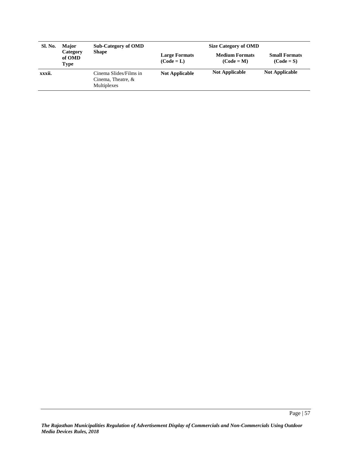| Sl. No. | <b>Major</b>               | <b>Sub-Category of OMD</b><br><b>Shape</b>                  | <b>Size Category of OMD</b>          |                                       |                                      |
|---------|----------------------------|-------------------------------------------------------------|--------------------------------------|---------------------------------------|--------------------------------------|
|         | Category<br>of OMD<br>Type |                                                             | <b>Large Formats</b><br>$(Code = L)$ | <b>Medium Formats</b><br>$(Code = M)$ | <b>Small Formats</b><br>$(Code = S)$ |
| xxxii.  |                            | Cinema Slides/Films in<br>Cinema, Theatre, &<br>Multiplexes | <b>Not Applicable</b>                | <b>Not Applicable</b>                 | <b>Not Applicable</b>                |